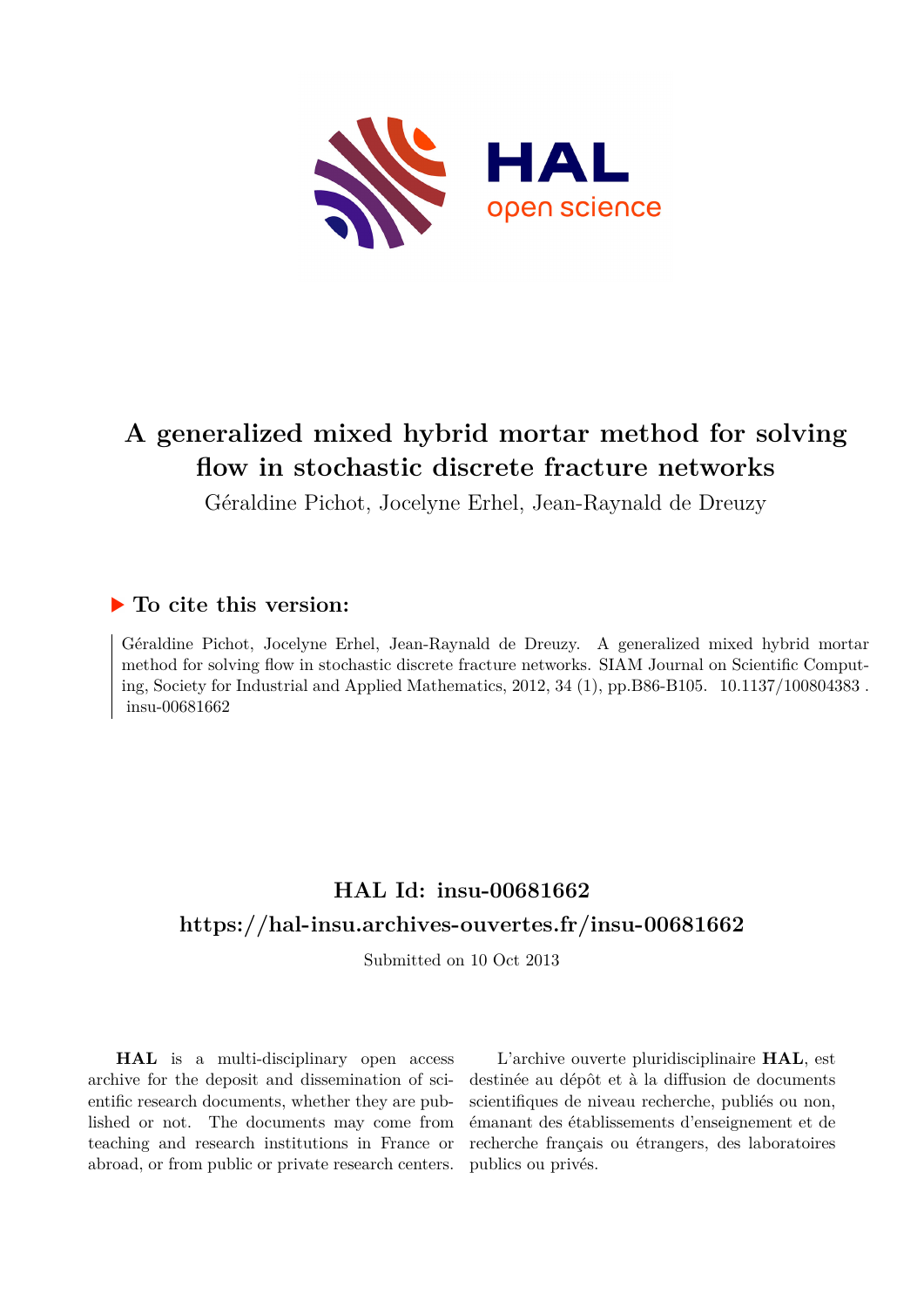

# **A generalized mixed hybrid mortar method for solving flow in stochastic discrete fracture networks**

Géraldine Pichot, Jocelyne Erhel, Jean-Raynald de Dreuzy

### **To cite this version:**

Géraldine Pichot, Jocelyne Erhel, Jean-Raynald de Dreuzy. A generalized mixed hybrid mortar method for solving flow in stochastic discrete fracture networks. SIAM Journal on Scientific Computing, Society for Industrial and Applied Mathematics,  $2012, 34 (1)$ , pp.B86-B105.  $10.1137/100804383$ . insu-00681662

## **HAL Id: insu-00681662 <https://hal-insu.archives-ouvertes.fr/insu-00681662>**

Submitted on 10 Oct 2013

**HAL** is a multi-disciplinary open access archive for the deposit and dissemination of scientific research documents, whether they are published or not. The documents may come from teaching and research institutions in France or abroad, or from public or private research centers.

L'archive ouverte pluridisciplinaire **HAL**, est destinée au dépôt et à la diffusion de documents scientifiques de niveau recherche, publiés ou non, émanant des établissements d'enseignement et de recherche français ou étrangers, des laboratoires publics ou privés.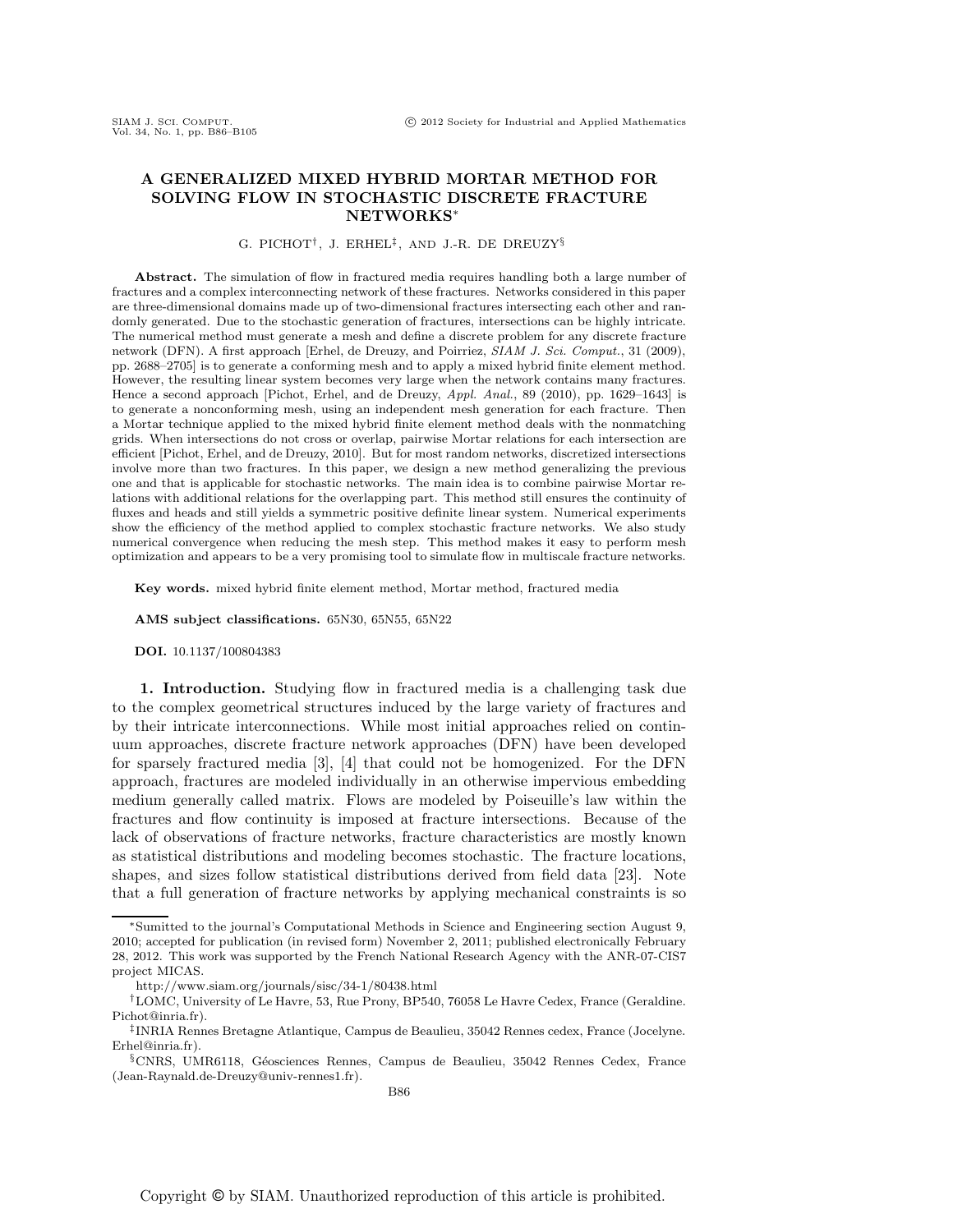#### A GENERALIZED MIXED HYBRID MORTAR METHOD FOR SOLVING FLOW IN STOCHASTIC DISCRETE FRACTURE NETWORKS<sup>∗</sup>

#### G. PICHOT† , J. ERHEL‡ , AND J.-R. DE DREUZY§

Abstract. The simulation of flow in fractured media requires handling both a large number of fractures and a complex interconnecting network of these fractures. Networks considered in this paper are three-dimensional domains made up of two-dimensional fractures intersecting each other and randomly generated. Due to the stochastic generation of fractures, intersections can be highly intricate. The numerical method must generate a mesh and define a discrete problem for any discrete fracture network (DFN). A first approach [Erhel, de Dreuzy, and Poirriez, SIAM J. Sci. Comput., 31 (2009), pp. 2688–2705] is to generate a conforming mesh and to apply a mixed hybrid finite element method. However, the resulting linear system becomes very large when the network contains many fractures. Hence a second approach [Pichot, Erhel, and de Dreuzy, Appl. Anal., 89 (2010), pp. 1629–1643] is to generate a nonconforming mesh, using an independent mesh generation for each fracture. Then a Mortar technique applied to the mixed hybrid finite element method deals with the nonmatching grids. When intersections do not cross or overlap, pairwise Mortar relations for each intersection are efficient [Pichot, Erhel, and de Dreuzy, 2010]. But for most random networks, discretized intersections involve more than two fractures. In this paper, we design a new method generalizing the previous one and that is applicable for stochastic networks. The main idea is to combine pairwise Mortar relations with additional relations for the overlapping part. This method still ensures the continuity of fluxes and heads and still yields a symmetric positive definite linear system. Numerical experiments show the efficiency of the method applied to complex stochastic fracture networks. We also study numerical convergence when reducing the mesh step. This method makes it easy to perform mesh optimization and appears to be a very promising tool to simulate flow in multiscale fracture networks.

Key words. mixed hybrid finite element method, Mortar method, fractured media

AMS subject classifications. 65N30, 65N55, 65N22

#### DOI. 10.1137/100804383

1. Introduction. Studying flow in fractured media is a challenging task due to the complex geometrical structures induced by the large variety of fractures and by their intricate interconnections. While most initial approaches relied on continuum approaches, discrete fracture network approaches (DFN) have been developed for sparsely fractured media [3], [4] that could not be homogenized. For the DFN approach, fractures are modeled individually in an otherwise impervious embedding medium generally called matrix. Flows are modeled by Poiseuille's law within the fractures and flow continuity is imposed at fracture intersections. Because of the lack of observations of fracture networks, fracture characteristics are mostly known as statistical distributions and modeling becomes stochastic. The fracture locations, shapes, and sizes follow statistical distributions derived from field data [23]. Note that a full generation of fracture networks by applying mechanical constraints is so

<sup>∗</sup>Sumitted to the journal's Computational Methods in Science and Engineering section August 9, 2010; accepted for publication (in revised form) November 2, 2011; published electronically February 28, 2012. This work was supported by the French National Research Agency with the ANR-07-CIS7 project MICAS.

http://www.siam.org/journals/sisc/34-1/80438.html

<sup>†</sup>LOMC, University of Le Havre, 53, Rue Prony, BP540, 76058 Le Havre Cedex, France (Geraldine. Pichot@inria.fr).

<sup>‡</sup> INRIA Rennes Bretagne Atlantique, Campus de Beaulieu, 35042 Rennes cedex, France (Jocelyne. Erhel@inria.fr).

<sup>§</sup>CNRS, UMR6118, Géosciences Rennes, Campus de Beaulieu, 35042 Rennes Cedex, France (Jean-Raynald.de-Dreuzy@univ-rennes1.fr).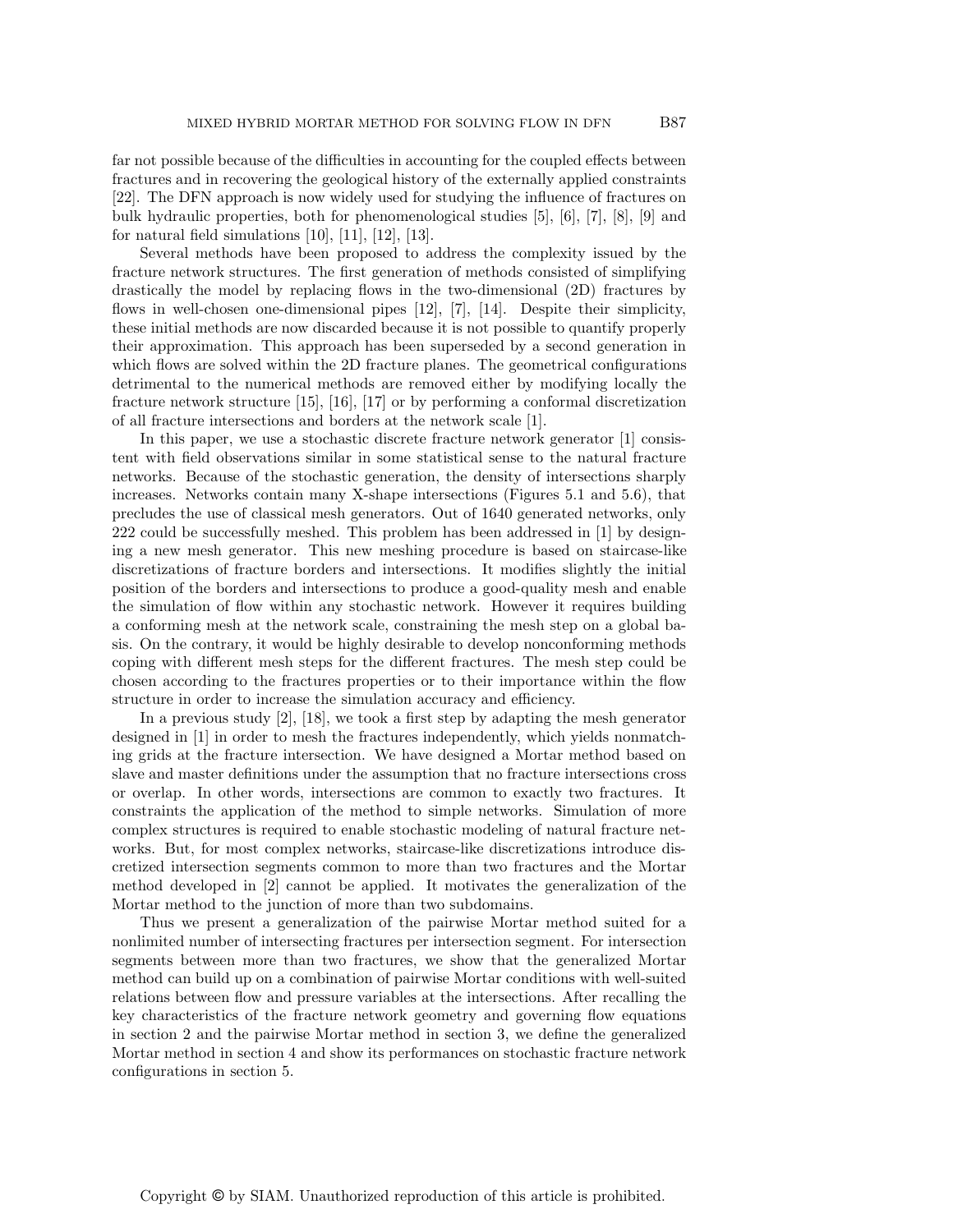far not possible because of the difficulties in accounting for the coupled effects between fractures and in recovering the geological history of the externally applied constraints [22]. The DFN approach is now widely used for studying the influence of fractures on bulk hydraulic properties, both for phenomenological studies [5], [6], [7], [8], [9] and for natural field simulations  $[10]$ ,  $[11]$ ,  $[12]$ ,  $[13]$ .

Several methods have been proposed to address the complexity issued by the fracture network structures. The first generation of methods consisted of simplifying drastically the model by replacing flows in the two-dimensional (2D) fractures by flows in well-chosen one-dimensional pipes [12], [7], [14]. Despite their simplicity, these initial methods are now discarded because it is not possible to quantify properly their approximation. This approach has been superseded by a second generation in which flows are solved within the 2D fracture planes. The geometrical configurations detrimental to the numerical methods are removed either by modifying locally the fracture network structure [15], [16], [17] or by performing a conformal discretization of all fracture intersections and borders at the network scale [1].

In this paper, we use a stochastic discrete fracture network generator [1] consistent with field observations similar in some statistical sense to the natural fracture networks. Because of the stochastic generation, the density of intersections sharply increases. Networks contain many X-shape intersections (Figures 5.1 and 5.6), that precludes the use of classical mesh generators. Out of 1640 generated networks, only 222 could be successfully meshed. This problem has been addressed in [1] by designing a new mesh generator. This new meshing procedure is based on staircase-like discretizations of fracture borders and intersections. It modifies slightly the initial position of the borders and intersections to produce a good-quality mesh and enable the simulation of flow within any stochastic network. However it requires building a conforming mesh at the network scale, constraining the mesh step on a global basis. On the contrary, it would be highly desirable to develop nonconforming methods coping with different mesh steps for the different fractures. The mesh step could be chosen according to the fractures properties or to their importance within the flow structure in order to increase the simulation accuracy and efficiency.

In a previous study [2], [18], we took a first step by adapting the mesh generator designed in [1] in order to mesh the fractures independently, which yields nonmatching grids at the fracture intersection. We have designed a Mortar method based on slave and master definitions under the assumption that no fracture intersections cross or overlap. In other words, intersections are common to exactly two fractures. It constraints the application of the method to simple networks. Simulation of more complex structures is required to enable stochastic modeling of natural fracture networks. But, for most complex networks, staircase-like discretizations introduce discretized intersection segments common to more than two fractures and the Mortar method developed in [2] cannot be applied. It motivates the generalization of the Mortar method to the junction of more than two subdomains.

Thus we present a generalization of the pairwise Mortar method suited for a nonlimited number of intersecting fractures per intersection segment. For intersection segments between more than two fractures, we show that the generalized Mortar method can build up on a combination of pairwise Mortar conditions with well-suited relations between flow and pressure variables at the intersections. After recalling the key characteristics of the fracture network geometry and governing flow equations in section 2 and the pairwise Mortar method in section 3, we define the generalized Mortar method in section 4 and show its performances on stochastic fracture network configurations in section 5.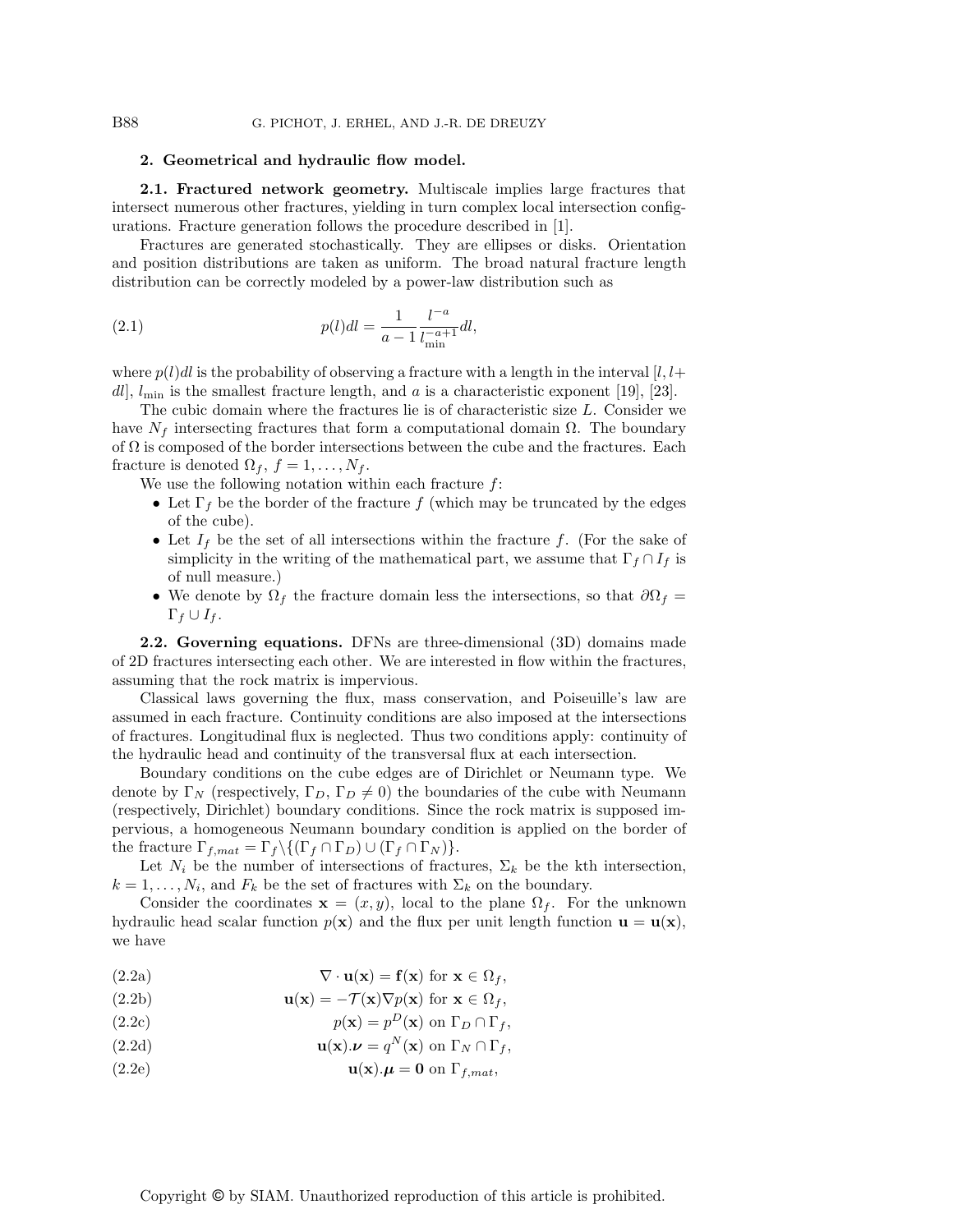#### 2. Geometrical and hydraulic flow model.

2.1. Fractured network geometry. Multiscale implies large fractures that intersect numerous other fractures, yielding in turn complex local intersection configurations. Fracture generation follows the procedure described in [1].

Fractures are generated stochastically. They are ellipses or disks. Orientation and position distributions are taken as uniform. The broad natural fracture length distribution can be correctly modeled by a power-law distribution such as

(2.1) 
$$
p(l)dl = \frac{1}{a-1} \frac{l^{-a}}{l_{\min}^{-a+1}} dl,
$$

where  $p(l)dl$  is the probability of observing a fracture with a length in the interval  $\lfloor l, l+\rfloor$ dl,  $l_{\min}$  is the smallest fracture length, and a is a characteristic exponent [19], [23].

The cubic domain where the fractures lie is of characteristic size L. Consider we have  $N_f$  intersecting fractures that form a computational domain  $\Omega$ . The boundary of  $\Omega$  is composed of the border intersections between the cube and the fractures. Each fracture is denoted  $\Omega_f$ ,  $f = 1, \ldots, N_f$ .

We use the following notation within each fracture  $f$ :

- Let  $\Gamma_f$  be the border of the fracture f (which may be truncated by the edges of the cube).
- Let  $I_f$  be the set of all intersections within the fracture f. (For the sake of simplicity in the writing of the mathematical part, we assume that  $\Gamma_f \cap I_f$  is of null measure.)
- We denote by  $\Omega_f$  the fracture domain less the intersections, so that  $\partial\Omega_f =$  $\Gamma_f \cup I_f$ .

2.2. Governing equations. DFNs are three-dimensional (3D) domains made of 2D fractures intersecting each other. We are interested in flow within the fractures, assuming that the rock matrix is impervious.

Classical laws governing the flux, mass conservation, and Poiseuille's law are assumed in each fracture. Continuity conditions are also imposed at the intersections of fractures. Longitudinal flux is neglected. Thus two conditions apply: continuity of the hydraulic head and continuity of the transversal flux at each intersection.

Boundary conditions on the cube edges are of Dirichlet or Neumann type. We denote by  $\Gamma_N$  (respectively,  $\Gamma_D$ ,  $\Gamma_D \neq 0$ ) the boundaries of the cube with Neumann (respectively, Dirichlet) boundary conditions. Since the rock matrix is supposed impervious, a homogeneous Neumann boundary condition is applied on the border of the fracture  $\Gamma_{f, mat} = \Gamma_f \setminus \{(\Gamma_f \cap \Gamma_D) \cup (\Gamma_f \cap \Gamma_N)\}.$ 

Let  $N_i$  be the number of intersections of fractures,  $\Sigma_k$  be the kth intersection,  $k = 1, \ldots, N_i$ , and  $F_k$  be the set of fractures with  $\Sigma_k$  on the boundary.

Consider the coordinates  $\mathbf{x} = (x, y)$ , local to the plane  $\Omega_f$ . For the unknown hydraulic head scalar function  $p(x)$  and the flux per unit length function  $u = u(x)$ , we have

- (2.2a)  $\nabla \cdot \mathbf{u}(\mathbf{x}) = \mathbf{f}(\mathbf{x}) \text{ for } \mathbf{x} \in \Omega_f,$
- (2.2b)  $\mathbf{u}(\mathbf{x}) = -\mathcal{T}(\mathbf{x}) \nabla p(\mathbf{x})$  for  $\mathbf{x} \in \Omega_f$ ,
- (2.2c)  $p(\mathbf{x}) = p^D(\mathbf{x})$  on  $\Gamma_D \cap \Gamma_f$ ,
- (2.2d)  $\mathbf{u}(\mathbf{x}).\boldsymbol{\nu} = q^N(\mathbf{x}) \text{ on } \Gamma_N \cap \Gamma_f,$
- (2.2e)  $\mathbf{u}(\mathbf{x}).\boldsymbol{\mu} = \mathbf{0}$  on  $\Gamma_{f,mat}$ ,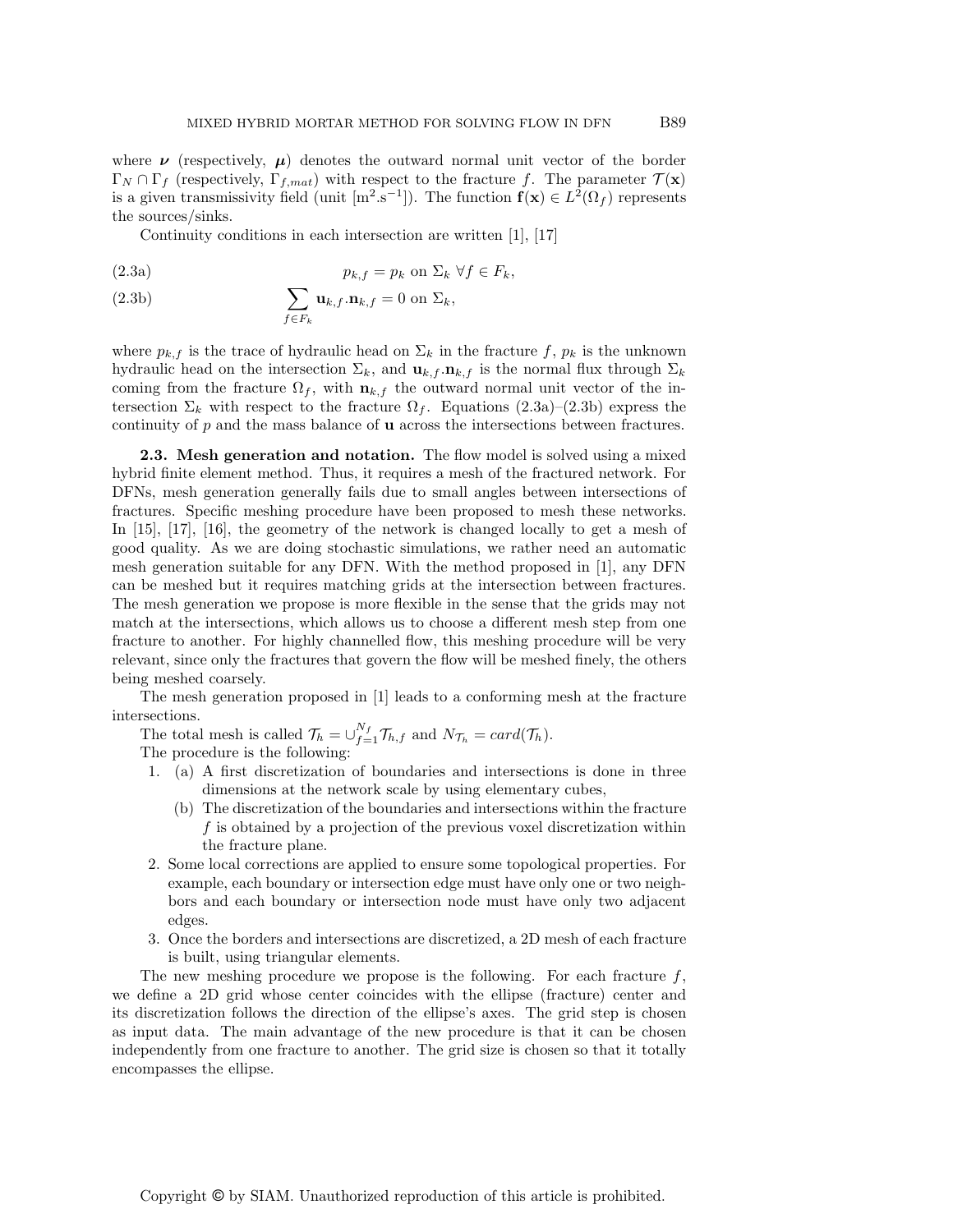where  $\nu$  (respectively,  $\mu$ ) denotes the outward normal unit vector of the border  $\Gamma_N \cap \Gamma_f$  (respectively,  $\Gamma_{f,mat}$ ) with respect to the fracture f. The parameter  $\mathcal{T}(\mathbf{x})$ is a given transmissivity field (unit  $[m^2.s^{-1}]$ ). The function  $f(x) \in L^2(\Omega_f)$  represents the sources/sinks.

Continuity conditions in each intersection are written [1], [17]

(2.3a) 
$$
p_{k,f} = p_k \text{ on } \Sigma_k \ \forall f \in F_k,
$$

(2.3b) 
$$
\sum_{f \in F_k} \mathbf{u}_{k,f} \cdot \mathbf{n}_{k,f} = 0 \text{ on } \Sigma_k,
$$

where  $p_{k,f}$  is the trace of hydraulic head on  $\Sigma_k$  in the fracture f,  $p_k$  is the unknown hydraulic head on the intersection  $\Sigma_k$ , and  $\mathbf{u}_{k,f} \cdot \mathbf{n}_{k,f}$  is the normal flux through  $\Sigma_k$ coming from the fracture  $\Omega_f$ , with  $\mathbf{n}_{k,f}$  the outward normal unit vector of the intersection  $\Sigma_k$  with respect to the fracture  $\Omega_f$ . Equations (2.3a)–(2.3b) express the continuity of p and the mass balance of u across the intersections between fractures.

**2.3. Mesh generation and notation.** The flow model is solved using a mixed hybrid finite element method. Thus, it requires a mesh of the fractured network. For DFNs, mesh generation generally fails due to small angles between intersections of fractures. Specific meshing procedure have been proposed to mesh these networks. In [15], [17], [16], the geometry of the network is changed locally to get a mesh of good quality. As we are doing stochastic simulations, we rather need an automatic mesh generation suitable for any DFN. With the method proposed in [1], any DFN can be meshed but it requires matching grids at the intersection between fractures. The mesh generation we propose is more flexible in the sense that the grids may not match at the intersections, which allows us to choose a different mesh step from one fracture to another. For highly channelled flow, this meshing procedure will be very relevant, since only the fractures that govern the flow will be meshed finely, the others being meshed coarsely.

The mesh generation proposed in [1] leads to a conforming mesh at the fracture intersections.

The total mesh is called  $\mathcal{T}_h = \bigcup_{f=1}^{N_f} \mathcal{T}_{h,f}$  and  $N_{\mathcal{T}_h} = card(\mathcal{T}_h)$ .

The procedure is the following:

- 1. (a) A first discretization of boundaries and intersections is done in three dimensions at the network scale by using elementary cubes,
	- (b) The discretization of the boundaries and intersections within the fracture f is obtained by a projection of the previous voxel discretization within the fracture plane.
- 2. Some local corrections are applied to ensure some topological properties. For example, each boundary or intersection edge must have only one or two neighbors and each boundary or intersection node must have only two adjacent edges.
- 3. Once the borders and intersections are discretized, a 2D mesh of each fracture is built, using triangular elements.

The new meshing procedure we propose is the following. For each fracture  $f$ , we define a 2D grid whose center coincides with the ellipse (fracture) center and its discretization follows the direction of the ellipse's axes. The grid step is chosen as input data. The main advantage of the new procedure is that it can be chosen independently from one fracture to another. The grid size is chosen so that it totally encompasses the ellipse.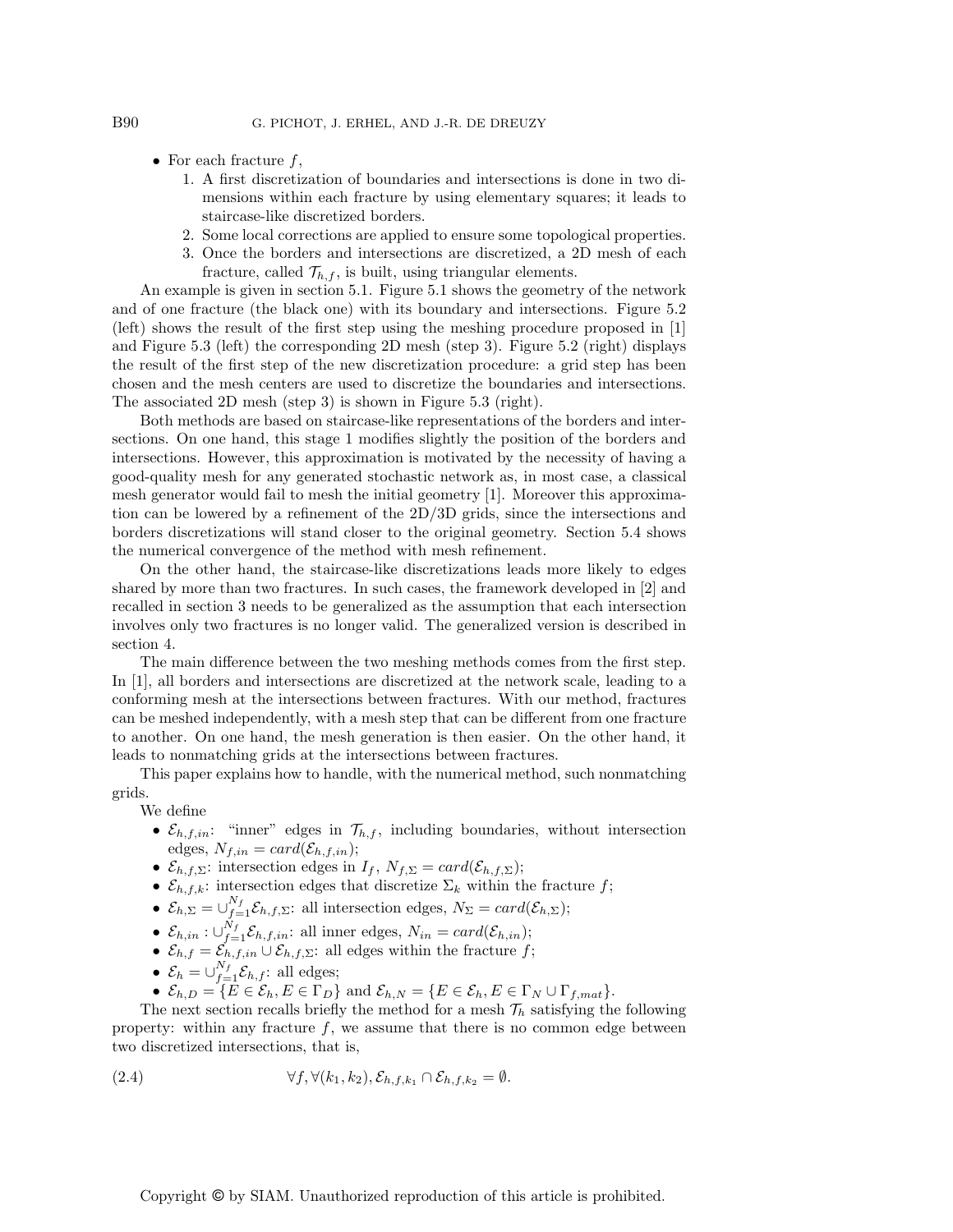- For each fracture  $f$ ,
	- 1. A first discretization of boundaries and intersections is done in two dimensions within each fracture by using elementary squares; it leads to staircase-like discretized borders.
	- 2. Some local corrections are applied to ensure some topological properties.
	- 3. Once the borders and intersections are discretized, a 2D mesh of each fracture, called  $\mathcal{T}_{h,f}$ , is built, using triangular elements.

An example is given in section 5.1. Figure 5.1 shows the geometry of the network and of one fracture (the black one) with its boundary and intersections. Figure 5.2 (left) shows the result of the first step using the meshing procedure proposed in [1] and Figure 5.3 (left) the corresponding 2D mesh (step 3). Figure 5.2 (right) displays the result of the first step of the new discretization procedure: a grid step has been chosen and the mesh centers are used to discretize the boundaries and intersections. The associated 2D mesh (step 3) is shown in Figure 5.3 (right).

Both methods are based on staircase-like representations of the borders and intersections. On one hand, this stage 1 modifies slightly the position of the borders and intersections. However, this approximation is motivated by the necessity of having a good-quality mesh for any generated stochastic network as, in most case, a classical mesh generator would fail to mesh the initial geometry [1]. Moreover this approximation can be lowered by a refinement of the 2D/3D grids, since the intersections and borders discretizations will stand closer to the original geometry. Section 5.4 shows the numerical convergence of the method with mesh refinement.

On the other hand, the staircase-like discretizations leads more likely to edges shared by more than two fractures. In such cases, the framework developed in [2] and recalled in section 3 needs to be generalized as the assumption that each intersection involves only two fractures is no longer valid. The generalized version is described in section 4.

The main difference between the two meshing methods comes from the first step. In [1], all borders and intersections are discretized at the network scale, leading to a conforming mesh at the intersections between fractures. With our method, fractures can be meshed independently, with a mesh step that can be different from one fracture to another. On one hand, the mesh generation is then easier. On the other hand, it leads to nonmatching grids at the intersections between fractures.

This paper explains how to handle, with the numerical method, such nonmatching grids.

We define

- $\mathcal{E}_{h,f,in}$ : "inner" edges in  $\mathcal{T}_{h,f}$ , including boundaries, without intersection edges,  $N_{f,in} = card(\mathcal{E}_{h,f,in});$
- $\mathcal{E}_{h,f,\Sigma}$ : intersection edges in  $I_f$ ,  $N_{f,\Sigma} = card(\mathcal{E}_{h,f,\Sigma})$ ;
- $\mathcal{E}_{h,f,k}$ : intersection edges that discretize  $\Sigma_k$  within the fracture f;
- $\mathcal{E}_{h,\Sigma} = \bigcup_{f=1}^{N_f} \mathcal{E}_{h,f,\Sigma}$ : all intersection edges,  $N_{\Sigma} = card(\mathcal{E}_{h,\Sigma})$ ;
- $\mathcal{E}_{h,in} : \bigcup_{f=1}^{N_f} \mathcal{E}_{h,f,in}$ : all inner edges,  $N_{in} = card(\mathcal{E}_{h,in})$ ;
- $\mathcal{E}_{h,f} = \mathcal{E}_{h,f,in} \cup \mathcal{E}_{h,f,\Sigma}$ : all edges within the fracture f;
- $\mathcal{E}_h = \bigcup_{f=1}^{N_f} \mathcal{E}_{h,f}$ : all edges;
- $\mathcal{E}_{h,D} = \{E \in \mathcal{E}_h, E \in \Gamma_D\}$  and  $\mathcal{E}_{h,N} = \{E \in \mathcal{E}_h, E \in \Gamma_N \cup \Gamma_{f,mat}\}.$

The next section recalls briefly the method for a mesh  $\mathcal{T}_h$  satisfying the following property: within any fracture  $f$ , we assume that there is no common edge between two discretized intersections, that is,

(2.4) 
$$
\forall f, \forall (k_1, k_2), \mathcal{E}_{h,f,k_1} \cap \mathcal{E}_{h,f,k_2} = \emptyset.
$$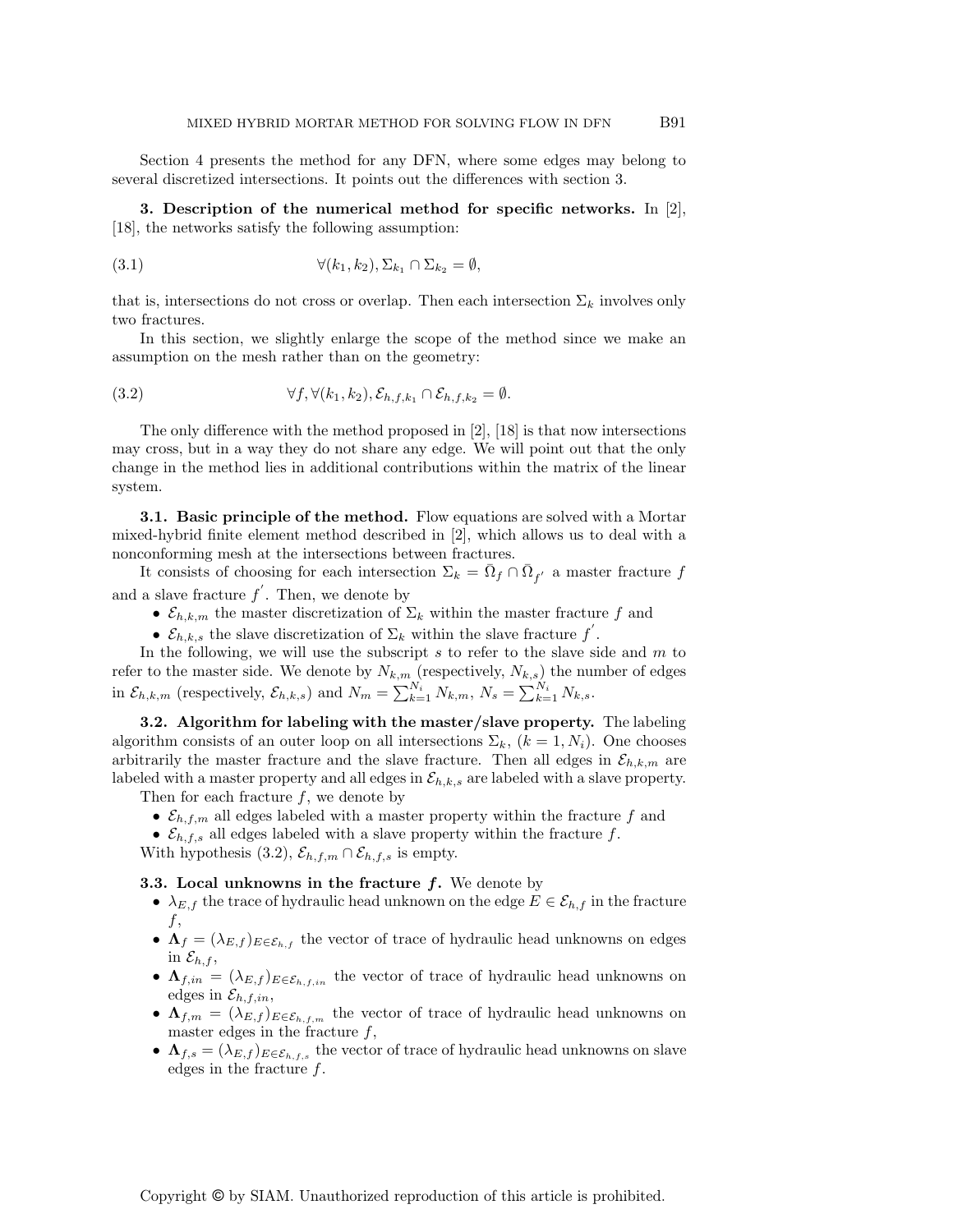Section 4 presents the method for any DFN, where some edges may belong to several discretized intersections. It points out the differences with section 3.

3. Description of the numerical method for specific networks. In  $|2|$ , [18], the networks satisfy the following assumption:

(3.1) 
$$
\forall (k_1, k_2), \Sigma_{k_1} \cap \Sigma_{k_2} = \emptyset,
$$

that is, intersections do not cross or overlap. Then each intersection  $\Sigma_k$  involves only two fractures.

In this section, we slightly enlarge the scope of the method since we make an assumption on the mesh rather than on the geometry:

(3.2) 
$$
\forall f, \forall (k_1, k_2), \mathcal{E}_{h,f,k_1} \cap \mathcal{E}_{h,f,k_2} = \emptyset.
$$

The only difference with the method proposed in [2], [18] is that now intersections may cross, but in a way they do not share any edge. We will point out that the only change in the method lies in additional contributions within the matrix of the linear system.

**3.1. Basic principle of the method.** Flow equations are solved with a Mortar mixed-hybrid finite element method described in [2], which allows us to deal with a nonconforming mesh at the intersections between fractures.

It consists of choosing for each intersection  $\Sigma_k = \overline{\Omega}_f \cap \overline{\Omega}_{f'}$  a master fracture f and a slave fracture  $f'$ . Then, we denote by

- $\mathcal{E}_{h,k,m}$  the master discretization of  $\Sigma_k$  within the master fracture f and
- $\mathcal{E}_{h,k,s}$  the slave discretization of  $\Sigma_k$  within the slave fracture  $f'$ .

In the following, we will use the subscript  $s$  to refer to the slave side and  $m$  to refer to the master side. We denote by  $N_{k,m}$  (respectively,  $N_{k,s}$ ) the number of edges in  $\mathcal{E}_{h,k,m}$  (respectively,  $\mathcal{E}_{h,k,s}$ ) and  $N_m = \sum_{k=1}^{N_i} N_{k,m}, N_s = \sum_{k=1}^{N_i} N_{k,s}$ .

3.2. Algorithm for labeling with the master/slave property. The labeling algorithm consists of an outer loop on all intersections  $\Sigma_k$ ,  $(k = 1, N_i)$ . One chooses arbitrarily the master fracture and the slave fracture. Then all edges in  $\mathcal{E}_{h,k,m}$  are labeled with a master property and all edges in  $\mathcal{E}_{h,k,s}$  are labeled with a slave property. Then for each fracture  $f$ , we denote by

- $\mathcal{E}_{h,f,m}$  all edges labeled with a master property within the fracture f and
- $\mathcal{E}_{h,f,s}$  all edges labeled with a slave property within the fracture f.

With hypothesis (3.2),  $\mathcal{E}_{h,f,m} \cap \mathcal{E}_{h,f,s}$  is empty.

**3.3. Local unknowns in the fracture**  $f$ **.** We denote by

- $\lambda_{E,f}$  the trace of hydraulic head unknown on the edge  $E \in \mathcal{E}_{h,f}$  in the fracture  $f,$
- $\mathbf{\Lambda}_f = (\lambda_{E,f})_{E \in \mathcal{E}_{h,f}}$  the vector of trace of hydraulic head unknowns on edges in  $\mathcal{E}_{h,f}$ ,
- $\Lambda_{f,in} = (\lambda_{E,f})_{E \in \mathcal{E}_{h,f,in}}$  the vector of trace of hydraulic head unknowns on edges in  $\mathcal{E}_{h,f,in}$ ,
- $\mathbf{\Lambda}_{f,m} = (\lambda_{E,f})_{E \in \mathcal{E}_{h,f,m}}$  the vector of trace of hydraulic head unknowns on master edges in the fracture  $f$ ,
- $\mathbf{\Lambda}_{f,s} = (\lambda_{E,f})_{E \in \mathcal{E}_{h,f,s}}$  the vector of trace of hydraulic head unknowns on slave edges in the fracture  $f$ .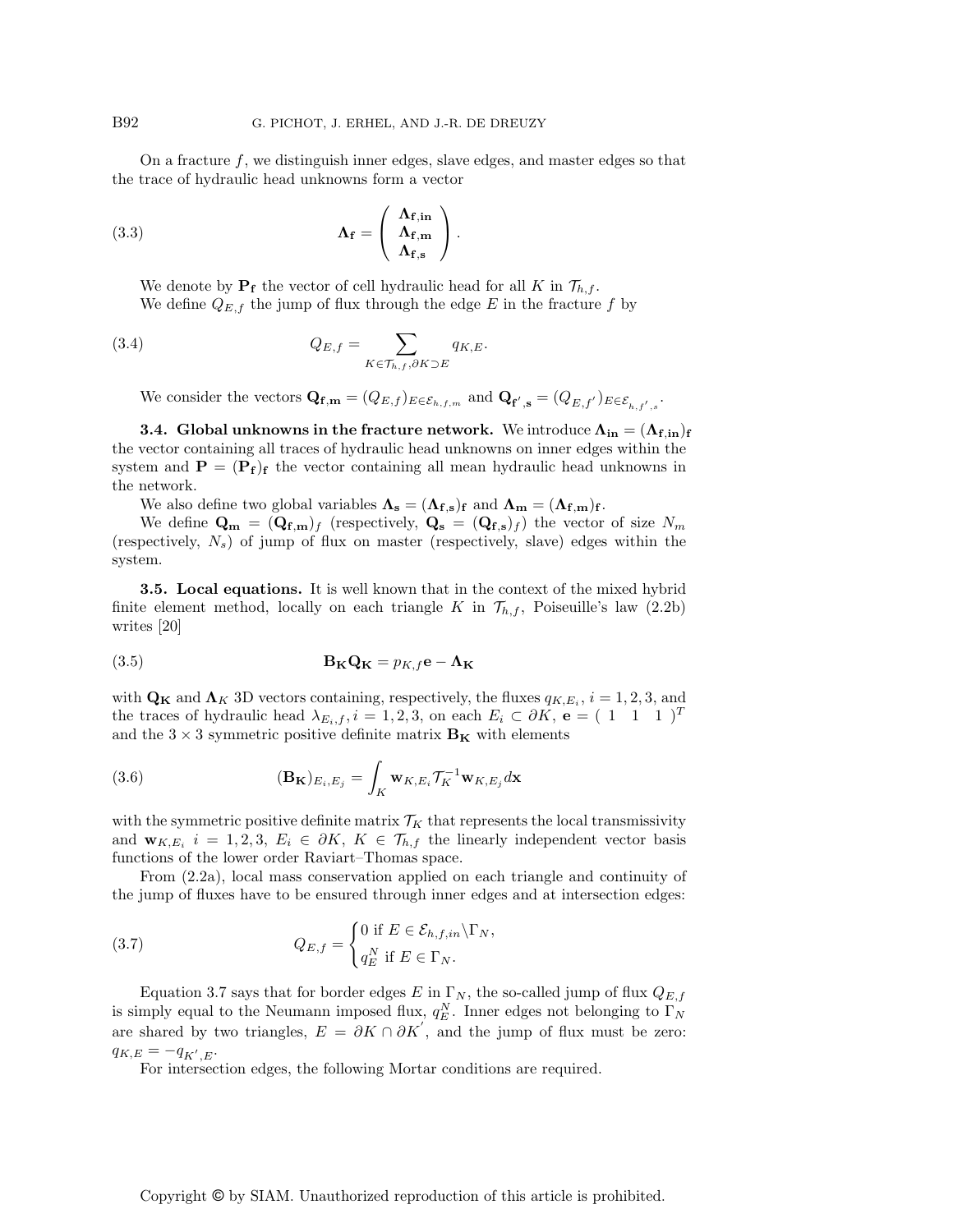On a fracture  $f$ , we distinguish inner edges, slave edges, and master edges so that the trace of hydraulic head unknowns form a vector

(3.3) 
$$
\Lambda_{\mathbf{f}} = \begin{pmatrix} \Lambda_{\mathbf{f},\mathrm{in}} \\ \Lambda_{\mathbf{f},\mathrm{m}} \\ \Lambda_{\mathbf{f},\mathrm{s}} \end{pmatrix}.
$$

We denote by  $P_f$  the vector of cell hydraulic head for all K in  $\mathcal{T}_{h,f}$ . We define  $Q_{E,f}$  the jump of flux through the edge E in the fracture f by

(3.4) 
$$
Q_{E,f} = \sum_{K \in \mathcal{T}_{h,f}, \partial K \supset E} q_{K,E}.
$$

We consider the vectors  $\mathbf{Q}_{\mathbf{f},\mathbf{m}} = (Q_{E,f})_{E \in \mathcal{E}_{h,f,m}}$  and  $\mathbf{Q}_{\mathbf{f}',\mathbf{s}} = (Q_{E,f'})_{E \in \mathcal{E}_{h,f',s}}$ .

**3.4.** Global unknowns in the fracture network. We introduce  $\mathbf{\Lambda}_{\text{in}} = (\mathbf{\Lambda}_{\text{f,in}})_{\text{f}}$ the vector containing all traces of hydraulic head unknowns on inner edges within the system and  $\mathbf{P} = (\mathbf{P}_{\mathbf{f}})_{\mathbf{f}}$  the vector containing all mean hydraulic head unknowns in the network.

We also define two global variables  $\Lambda_{\rm s} = (\Lambda_{\rm f,s})_{\rm f}$  and  $\Lambda_{\rm m} = (\Lambda_{\rm f,m})_{\rm f}$ .

We define  $\mathbf{Q_m} = (\mathbf{Q_{f,m}})_f$  (respectively,  $\mathbf{Q_s} = (\mathbf{Q_{f,s}})_f$ ) the vector of size  $N_m$ (respectively,  $N_s$ ) of jump of flux on master (respectively, slave) edges within the system.

3.5. Local equations. It is well known that in the context of the mixed hybrid finite element method, locally on each triangle K in  $\mathcal{T}_{h,f}$ , Poiseuille's law (2.2b) writes [20]

(3.5) 
$$
\mathbf{B}_{\mathbf{K}}\mathbf{Q}_{\mathbf{K}} = p_{K,f}\mathbf{e} - \mathbf{\Lambda}_{\mathbf{K}}
$$

with  $\mathbf{Q_K}$  and  $\mathbf{\Lambda}_K$  3D vectors containing, respectively, the fluxes  $q_{K,E_i}$ ,  $i = 1, 2, 3$ , and the traces of hydraulic head  $\lambda_{E_i,f}$ ,  $i = 1,2,3$ , on each  $E_i \subset \partial K$ ,  $e = (1 \ 1 \ 1)^T$ and the  $3 \times 3$  symmetric positive definite matrix  $B_K$  with elements

(3.6) 
$$
(\mathbf{B}_{\mathbf{K}})_{E_i,E_j} = \int_K \mathbf{w}_{K,E_i} \mathcal{T}_K^{-1} \mathbf{w}_{K,E_j} d\mathbf{x}
$$

with the symmetric positive definite matrix  $\mathcal{T}_K$  that represents the local transmissivity and  $\mathbf{w}_{K,E_i}$   $i = 1,2,3, E_i \in \partial K$ ,  $K \in \mathcal{T}_{h,f}$  the linearly independent vector basis functions of the lower order Raviart–Thomas space.

From (2.2a), local mass conservation applied on each triangle and continuity of the jump of fluxes have to be ensured through inner edges and at intersection edges:

(3.7) 
$$
Q_{E,f} = \begin{cases} 0 \text{ if } E \in \mathcal{E}_{h,f,in} \backslash \Gamma_N, \\ q_E^N \text{ if } E \in \Gamma_N. \end{cases}
$$

Equation 3.7 says that for border edges E in  $\Gamma_N$ , the so-called jump of flux  $Q_{E,f}$ is simply equal to the Neumann imposed flux,  $q_E^N$ . Inner edges not belonging to  $\Gamma_N$ are shared by two triangles,  $E = \partial K \cap \partial K'$ , and the jump of flux must be zero:  $q_{K,E} = -q_{K',E}.$ 

For intersection edges, the following Mortar conditions are required.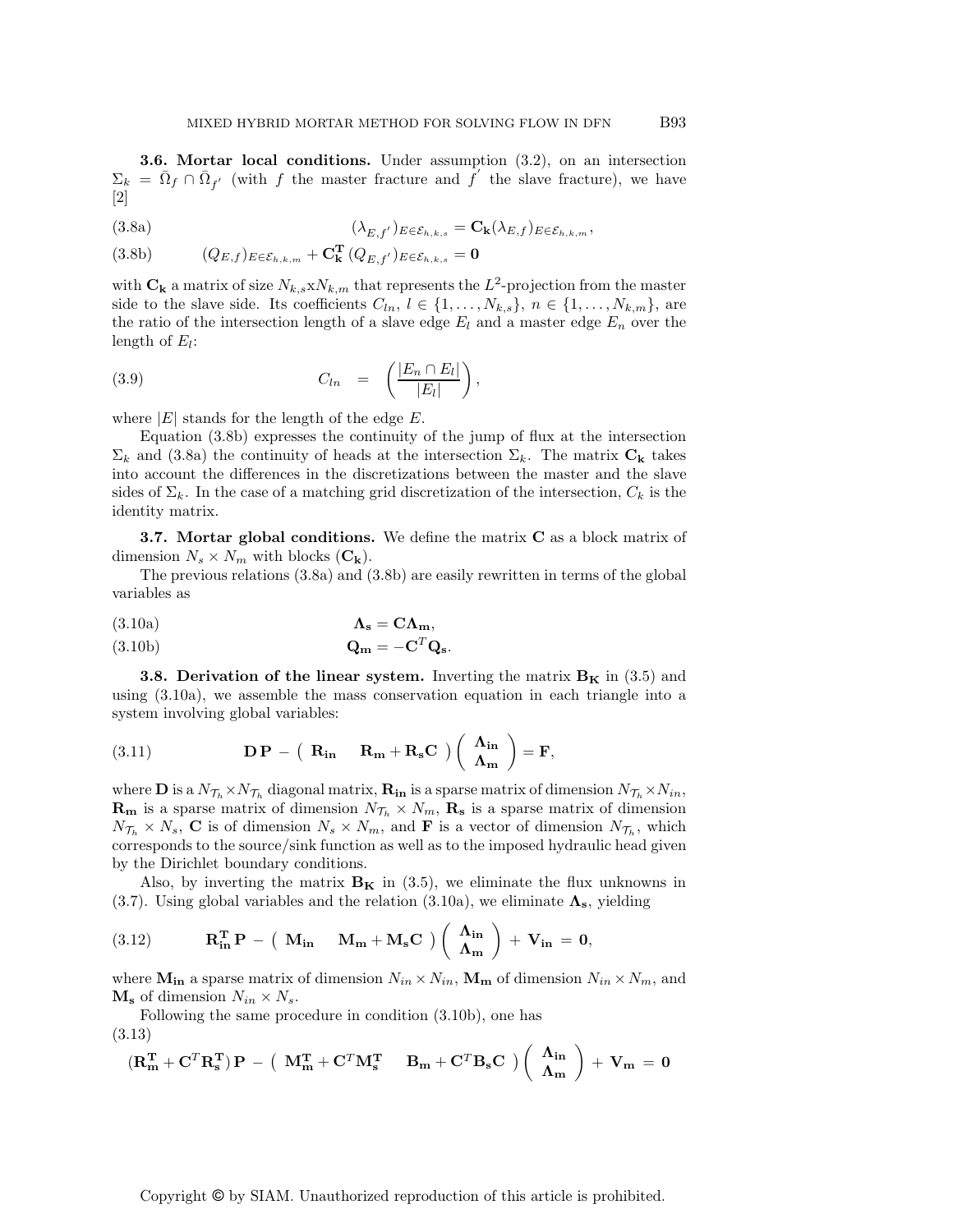3.6. Mortar local conditions. Under assumption (3.2), on an intersection  $\Sigma_k = \bar{\Omega}_f \cap \bar{\Omega}_{f'}$  (with f the master fracture and f' the slave fracture), we have  $|2|$ 

(3.8a) 
$$
(\lambda_{E,f'})_{E \in \mathcal{E}_{h,k,s}} = \mathbf{C}_{\mathbf{k}}(\lambda_{E,f})_{E \in \mathcal{E}_{h,k,m}},
$$

(3.8b)  $(Q_{E,f})_{E \in \mathcal{E}_{h,k,m}} + \mathbf{C}_{\mathbf{k}}^{\mathbf{T}} (Q_{E,f'})_{E \in \mathcal{E}_{h,k,s}} = \mathbf{0}$ 

with  $\mathbf{C}_k$  a matrix of size  $N_{k,s}$  x $N_{k,m}$  that represents the  $L^2$ -projection from the master side to the slave side. Its coefficients  $C_{ln}$ ,  $l \in \{1, ..., N_{k,s}\}, n \in \{1, ..., N_{k,m}\},$  are the ratio of the intersection length of a slave edge  $E_l$  and a master edge  $E_n$  over the length of  $E_l$ :

$$
(3.9) \tC_{ln} = \left(\frac{|E_n \cap E_l|}{|E_l|}\right),
$$

where  $|E|$  stands for the length of the edge  $E$ .

Equation (3.8b) expresses the continuity of the jump of flux at the intersection  $\Sigma_k$  and (3.8a) the continuity of heads at the intersection  $\Sigma_k$ . The matrix  $C_k$  takes into account the differences in the discretizations between the master and the slave sides of  $\Sigma_k$ . In the case of a matching grid discretization of the intersection,  $C_k$  is the identity matrix.

**3.7.** Mortar global conditions. We define the matrix  $C$  as a block matrix of dimension  $N_s \times N_m$  with blocks  $(C_k)$ .

The previous relations (3.8a) and (3.8b) are easily rewritten in terms of the global variables as

$$
\Lambda_{\mathbf{s}} = \mathbf{C}\Lambda_{\mathbf{m}},
$$

(3.10b) 
$$
\mathbf{Q}_{\mathbf{m}} = -\mathbf{C}^T \mathbf{Q}_{\mathbf{s}}.
$$

**3.8. Derivation of the linear system.** Inverting the matrix  $B_K$  in (3.5) and using (3.10a), we assemble the mass conservation equation in each triangle into a system involving global variables:

(3.11) 
$$
\mathbf{DP} - (\mathbf{R}_{in} \mathbf{R}_{m} + \mathbf{R}_{s}\mathbf{C}) (\begin{array}{c} \mathbf{\Lambda}_{in} \\ \mathbf{\Lambda}_{m} \end{array}) = \mathbf{F},
$$

where **D** is a  $N_{\mathcal{T}_h} \times N_{\mathcal{T}_h}$  diagonal matrix,  $\mathbf{R}_{in}$  is a sparse matrix of dimension  $N_{\mathcal{T}_h} \times N_{in}$ ,  $\mathbf{R}_{\mathbf{m}}$  is a sparse matrix of dimension  $N_{\mathcal{T}_h} \times N_m$ ,  $\mathbf{R}_{\mathbf{s}}$  is a sparse matrix of dimension  $N_{\mathcal{T}_h} \times N_s$ , C is of dimension  $N_s \times N_m$ , and F is a vector of dimension  $N_{\mathcal{T}_h}$ , which corresponds to the source/sink function as well as to the imposed hydraulic head given by the Dirichlet boundary conditions.

Also, by inverting the matrix  $B_K$  in (3.5), we eliminate the flux unknowns in (3.7). Using global variables and the relation (3.10a), we eliminate  $\Lambda_{\rm s}$ , yielding

(3.12) 
$$
\mathbf{R}_{\text{in}}^{\text{T}} \mathbf{P} - (\mathbf{M}_{\text{in}} \mathbf{M}_{\text{m}} + \mathbf{M}_{\text{s}} \mathbf{C}) (\begin{array}{c} \mathbf{\Lambda}_{\text{in}} \\ \mathbf{\Lambda}_{\text{m}} \end{array}) + \mathbf{V}_{\text{in}} = \mathbf{0},
$$

where  $M_{in}$  a sparse matrix of dimension  $N_{in} \times N_{in}$ ,  $M_m$  of dimension  $N_{in} \times N_m$ , and  $\mathbf{M}_s$  of dimension  $N_{in} \times N_s$ .

Following the same procedure in condition (3.10b), one has

(3.13)

$$
(\mathbf{R}_{\mathbf{m}}^{\mathbf{T}} + \mathbf{C}^T \mathbf{R}_{\mathbf{s}}^{\mathbf{T}})\mathbf{P} - (\mathbf{M}_{\mathbf{m}}^{\mathbf{T}} + \mathbf{C}^T \mathbf{M}_{\mathbf{s}}^{\mathbf{T}} \mathbf{B}_{\mathbf{m}} + \mathbf{C}^T \mathbf{B}_{\mathbf{s}} \mathbf{C}) (\begin{pmatrix} \mathbf{\Lambda}_{\mathbf{in}} \\ \mathbf{\Lambda}_{\mathbf{m}} \end{pmatrix} + \mathbf{V}_{\mathbf{m}} = \mathbf{0}
$$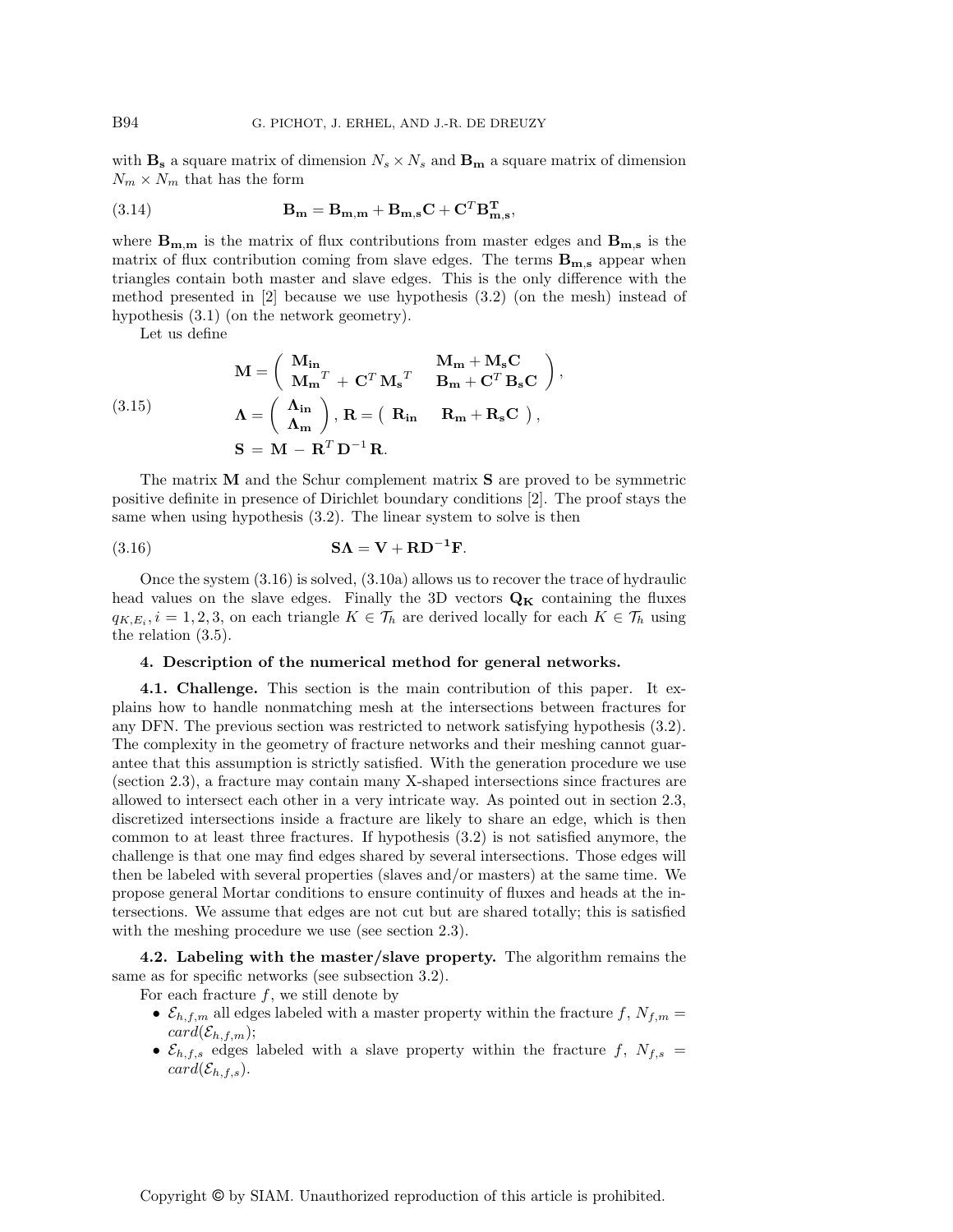with  $\mathbf{B}_s$  a square matrix of dimension  $N_s \times N_s$  and  $\mathbf{B}_m$  a square matrix of dimension  $N_m \times N_m$  that has the form

(3.14) 
$$
\mathbf{B_m} = \mathbf{B_{m,m}} + \mathbf{B_{m,s}}\mathbf{C} + \mathbf{C}^T\mathbf{B_{m,s}^T},
$$

where  $B_{m,m}$  is the matrix of flux contributions from master edges and  $B_{m,s}$  is the matrix of flux contribution coming from slave edges. The terms  $B_{m,s}$  appear when triangles contain both master and slave edges. This is the only difference with the method presented in [2] because we use hypothesis (3.2) (on the mesh) instead of hypothesis (3.1) (on the network geometry).

Let us define

(3.15)  
\n
$$
\mathbf{M} = \begin{pmatrix} \mathbf{M}_{\mathbf{in}} & \mathbf{M}_{\mathbf{m}} + \mathbf{M}_{\mathbf{s}} \mathbf{C} \\ \mathbf{M}_{\mathbf{m}}^T + \mathbf{C}^T \mathbf{M}_{\mathbf{s}}^T & \mathbf{B}_{\mathbf{m}} + \mathbf{C}^T \mathbf{B}_{\mathbf{s}} \mathbf{C} \end{pmatrix},
$$
\n
$$
\mathbf{\Lambda} = \begin{pmatrix} \mathbf{\Lambda}_{\mathbf{in}} \\ \mathbf{\Lambda}_{\mathbf{m}} \end{pmatrix}, \mathbf{R} = (\mathbf{R}_{\mathbf{in}} \mathbf{R}_{\mathbf{m}} + \mathbf{R}_{\mathbf{s}} \mathbf{C}),
$$
\n
$$
\mathbf{S} = \mathbf{M} - \mathbf{R}^T \mathbf{D}^{-1} \mathbf{R}.
$$

The matrix M and the Schur complement matrix S are proved to be symmetric positive definite in presence of Dirichlet boundary conditions [2]. The proof stays the same when using hypothesis (3.2). The linear system to solve is then

(3.16) 
$$
\mathbf{S}\Lambda = \mathbf{V} + \mathbf{R}\mathbf{D}^{-1}\mathbf{F}.
$$

Once the system (3.16) is solved, (3.10a) allows us to recover the trace of hydraulic head values on the slave edges. Finally the 3D vectors  $\mathbf{Q}_{\mathbf{K}}$  containing the fluxes  $q_{K,E_i}, i = 1, 2, 3$ , on each triangle  $K \in \mathcal{T}_h$  are derived locally for each  $K \in \mathcal{T}_h$  using the relation (3.5).

#### 4. Description of the numerical method for general networks.

4.1. Challenge. This section is the main contribution of this paper. It explains how to handle nonmatching mesh at the intersections between fractures for any DFN. The previous section was restricted to network satisfying hypothesis (3.2). The complexity in the geometry of fracture networks and their meshing cannot guarantee that this assumption is strictly satisfied. With the generation procedure we use (section 2.3), a fracture may contain many X-shaped intersections since fractures are allowed to intersect each other in a very intricate way. As pointed out in section 2.3, discretized intersections inside a fracture are likely to share an edge, which is then common to at least three fractures. If hypothesis (3.2) is not satisfied anymore, the challenge is that one may find edges shared by several intersections. Those edges will then be labeled with several properties (slaves and/or masters) at the same time. We propose general Mortar conditions to ensure continuity of fluxes and heads at the intersections. We assume that edges are not cut but are shared totally; this is satisfied with the meshing procedure we use (see section 2.3).

4.2. Labeling with the master/slave property. The algorithm remains the same as for specific networks (see subsection 3.2).

For each fracture  $f$ , we still denote by

- $\mathcal{E}_{h,f,m}$  all edges labeled with a master property within the fracture  $f, N_{f,m} =$  $card(\mathcal{E}_{h,f,m});$
- $\mathcal{E}_{h,f,s}$  edges labeled with a slave property within the fracture f,  $N_{f,s}$  =  $card(\mathcal{E}_{h,f,s}).$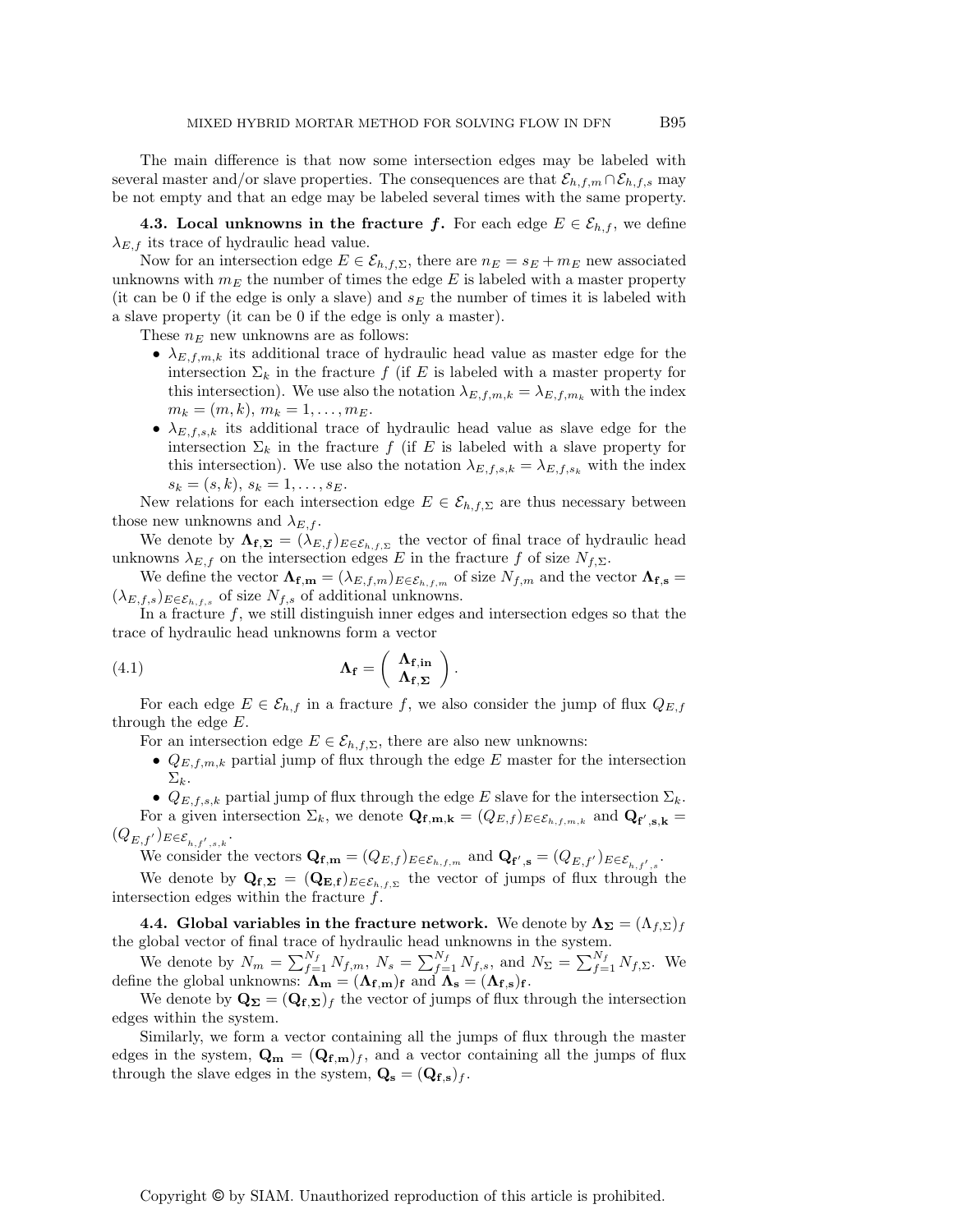The main difference is that now some intersection edges may be labeled with several master and/or slave properties. The consequences are that  $\mathcal{E}_{h,f,m} \cap \mathcal{E}_{h,f,s}$  may be not empty and that an edge may be labeled several times with the same property.

4.3. Local unknowns in the fracture f. For each edge  $E \in \mathcal{E}_{h,f}$ , we define  $\lambda_{E,f}$  its trace of hydraulic head value.

Now for an intersection edge  $E \in \mathcal{E}_{h,f,\Sigma}$ , there are  $n_E = s_E + m_E$  new associated unknowns with  $m_E$  the number of times the edge  $E$  is labeled with a master property (it can be 0 if the edge is only a slave) and  $s_E$  the number of times it is labeled with a slave property (it can be 0 if the edge is only a master).

These  $n_E$  new unknowns are as follows:

- $\lambda_{E,f,m,k}$  its additional trace of hydraulic head value as master edge for the intersection  $\Sigma_k$  in the fracture f (if E is labeled with a master property for this intersection). We use also the notation  $\lambda_{E,f,m,k} = \lambda_{E,f,m_k}$  with the index  $m_k = (m, k), m_k = 1, \ldots, m_E.$
- $\lambda_{E,f,s,k}$  its additional trace of hydraulic head value as slave edge for the intersection  $\Sigma_k$  in the fracture f (if E is labeled with a slave property for this intersection). We use also the notation  $\lambda_{E,f,s,k} = \lambda_{E,f,s,k}$  with the index  $s_k = (s, k), s_k = 1, \ldots, s_E.$

New relations for each intersection edge  $E \in \mathcal{E}_{h,f,\Sigma}$  are thus necessary between those new unknowns and  $\lambda_{E,f}$ .

We denote by  $\Lambda_{\mathbf{f},\mathbf{\Sigma}} = (\lambda_{E,f})_{E \in \mathcal{E}_{h,f,\Sigma}}$  the vector of final trace of hydraulic head unknowns  $\lambda_{E,f}$  on the intersection edges E in the fracture f of size  $N_{f,\Sigma}$ .

We define the vector  $\mathbf{\Lambda}_{\mathbf{f},\mathbf{m}} = (\lambda_{E,f,m})_{E \in \mathcal{E}_{h,f,m}}$  of size  $N_{f,m}$  and the vector  $\mathbf{\Lambda}_{\mathbf{f},\mathbf{s}} =$  $(\lambda_{E,f,s})_{E\in\mathcal{E}_{h,f,s}}$  of size  $N_{f,s}$  of additional unknowns.

In a fracture  $f$ , we still distinguish inner edges and intersection edges so that the trace of hydraulic head unknowns form a vector

(4.1) 
$$
\Lambda_{\mathbf{f}} = \begin{pmatrix} \Lambda_{\mathbf{f},\mathbf{in}} \\ \Lambda_{\mathbf{f},\Sigma} \end{pmatrix}.
$$

For each edge  $E \in \mathcal{E}_{h,f}$  in a fracture f, we also consider the jump of flux  $Q_{E,f}$ through the edge E.

For an intersection edge  $E \in \mathcal{E}_{h,f,\Sigma}$ , there are also new unknowns:

•  $Q_{E,f,m,k}$  partial jump of flux through the edge E master for the intersection  $\Sigma_k$ .

•  $Q_{E,f,s,k}$  partial jump of flux through the edge E slave for the intersection  $\Sigma_k$ . For a given intersection  $\Sigma_k$ , we denote  $\mathbf{Q}_{\mathbf{f},\mathbf{m},\mathbf{k}} = (Q_{E,f})_{E \in \mathcal{E}_{h,f,m,k}}$  and  $\mathbf{Q}_{\mathbf{f}',\mathbf{s},\mathbf{k}} =$  $(Q_{E,f'})_{E \in \mathcal{E}_{h,f',s,k}}.$ 

We consider the vectors  $\mathbf{Q}_{\mathbf{f},\mathbf{m}} = (Q_{E,f})_{E \in \mathcal{E}_{h,f,m}}$  and  $\mathbf{Q}_{\mathbf{f}',\mathbf{s}} = (Q_{E,f'})_{E \in \mathcal{E}_{h,f',s}}$ .

We denote by  $\mathbf{Q}_{\mathbf{f},\mathbf{\Sigma}} = (\mathbf{Q}_{\mathbf{E},\mathbf{f}})_{E \in \mathcal{E}_{h,f,\Sigma}}$  the vector of jumps of flux through the intersection edges within the fracture  $f$ .

4.4. Global variables in the fracture network. We denote by  $\Lambda_{\Sigma} = (\Lambda_{f,\Sigma})_f$ the global vector of final trace of hydraulic head unknowns in the system.

We denote by  $N_m = \sum_{f=1}^{N_f} N_{f,m}$ ,  $N_s = \sum_{f=1}^{N_f} N_{f,s}$ , and  $N_{\Sigma} = \sum_{f=1}^{N_f} N_{f,\Sigma}$ . We define the global unknowns:  $\mathbf{\Lambda}_{\mathbf{m}} = (\mathbf{\Lambda}_{\mathbf{f}, \mathbf{m}})_{\mathbf{f}}$  and  $\mathbf{\Lambda}_{\mathbf{s}} = (\mathbf{\Lambda}_{\mathbf{f}, \mathbf{s}})_{\mathbf{f}}$ .

We denote by  $\mathbf{Q}_{\Sigma} = (\mathbf{Q}_{\mathbf{f},\Sigma})_f$  the vector of jumps of flux through the intersection edges within the system.

Similarly, we form a vector containing all the jumps of flux through the master edges in the system,  $\mathbf{Q_m} = (\mathbf{Q_{f,m}})_f$ , and a vector containing all the jumps of flux through the slave edges in the system,  $\mathbf{Q}_s = (\mathbf{Q}_{f,s})_f$ .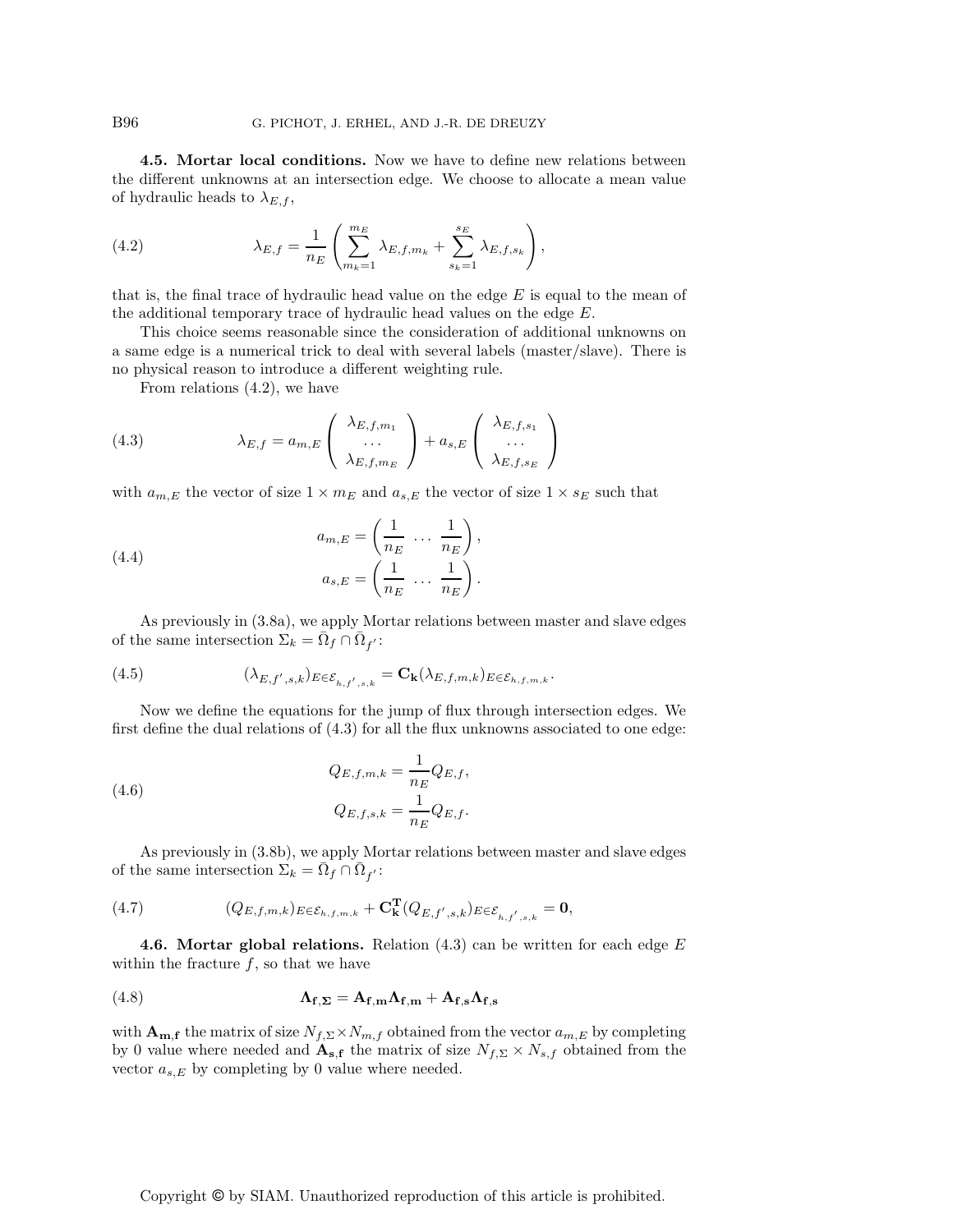4.5. Mortar local conditions. Now we have to define new relations between the different unknowns at an intersection edge. We choose to allocate a mean value of hydraulic heads to  $\lambda_{E,f}$ ,

(4.2) 
$$
\lambda_{E,f} = \frac{1}{n_E} \left( \sum_{m_k=1}^{m_E} \lambda_{E,f,m_k} + \sum_{s_k=1}^{s_E} \lambda_{E,f,s_k} \right),
$$

that is, the final trace of hydraulic head value on the edge  $E$  is equal to the mean of the additional temporary trace of hydraulic head values on the edge E.

This choice seems reasonable since the consideration of additional unknowns on a same edge is a numerical trick to deal with several labels (master/slave). There is no physical reason to introduce a different weighting rule.

From relations (4.2), we have

(4.3) 
$$
\lambda_{E,f} = a_{m,E} \begin{pmatrix} \lambda_{E,f,m_1} \\ \ldots \\ \lambda_{E,f,m_E} \end{pmatrix} + a_{s,E} \begin{pmatrix} \lambda_{E,f,s_1} \\ \ldots \\ \lambda_{E,f,s_E} \end{pmatrix}
$$

with  $a_{m,E}$  the vector of size  $1 \times m_E$  and  $a_{s,E}$  the vector of size  $1 \times s_E$  such that

(4.4) 
$$
a_{m,E} = \left(\frac{1}{n_E} \cdots \frac{1}{n_E}\right),
$$

$$
a_{s,E} = \left(\frac{1}{n_E} \cdots \frac{1}{n_E}\right).
$$

As previously in (3.8a), we apply Mortar relations between master and slave edges of the same intersection  $\Sigma_k = \bar{\Omega}_f \cap \bar{\Omega}_{f'}$ :

(4.5) 
$$
(\lambda_{E,f',s,k})_{E \in \mathcal{E}_{h,f',s,k}} = \mathbf{C}_{\mathbf{k}}(\lambda_{E,f,m,k})_{E \in \mathcal{E}_{h,f,m,k}}.
$$

Now we define the equations for the jump of flux through intersection edges. We first define the dual relations of  $(4.3)$  for all the flux unknowns associated to one edge:

(4.6) 
$$
Q_{E,f,m,k} = \frac{1}{n_E} Q_{E,f},
$$

$$
Q_{E,f,s,k} = \frac{1}{n_E} Q_{E,f}.
$$

As previously in (3.8b), we apply Mortar relations between master and slave edges of the same intersection  $\Sigma_k = \bar{\Omega}_f \cap \bar{\Omega}_{f'}$ :

(4.7) 
$$
(Q_{E,f,m,k})_{E \in \mathcal{E}_{h,f,m,k}} + \mathbf{C}_{\mathbf{k}}^{\mathbf{T}}(Q_{E,f',s,k})_{E \in \mathcal{E}_{h,f',s,k}} = \mathbf{0},
$$

4.6. Mortar global relations. Relation  $(4.3)$  can be written for each edge E within the fracture  $f$ , so that we have

(4.8) 
$$
\Lambda_{f,\Sigma} = A_{f,m}\Lambda_{f,m} + A_{f,s}\Lambda_{f,s}
$$

with  $\mathbf{A_{m,f}}$  the matrix of size  $N_{f,\Sigma} \times N_{m,f}$  obtained from the vector  $a_{m,E}$  by completing by 0 value where needed and  $\mathbf{A}_{s,f}$  the matrix of size  $N_{f,\Sigma} \times N_{s,f}$  obtained from the vector  $a_{s,E}$  by completing by 0 value where needed.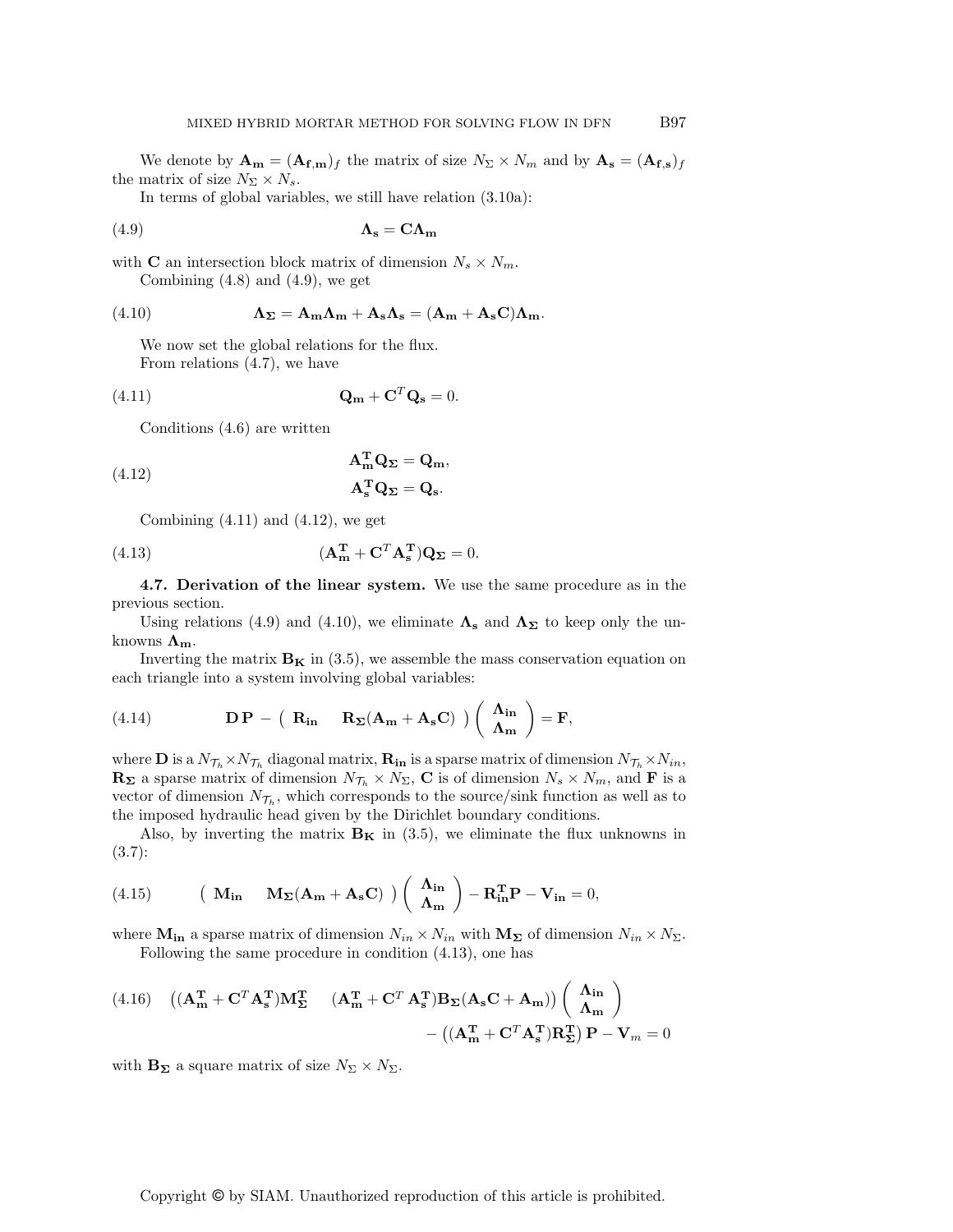We denote by  $\mathbf{A_m} = (\mathbf{A_{f,m}})_f$  the matrix of size  $N_{\Sigma} \times N_m$  and by  $\mathbf{A_s} = (\mathbf{A_{f,s}})_f$ the matrix of size  $N_{\Sigma} \times N_s$ .

In terms of global variables, we still have relation (3.10a):

$$
\Lambda_{\mathbf{s}} = \mathbf{C} \Lambda_{\mathbf{m}}
$$

with **C** an intersection block matrix of dimension  $N_s \times N_m$ . Combining  $(4.8)$  and  $(4.9)$ , we get

(4.10) 
$$
\Lambda_{\Sigma} = A_{m} \Lambda_{m} + A_{s} \Lambda_{s} = (A_{m} + A_{s} C) \Lambda_{m}.
$$

We now set the global relations for the flux. From relations (4.7), we have

$$
\mathbf{Q}_{\mathbf{m}} + \mathbf{C}^T \mathbf{Q}_{\mathbf{s}} = 0.
$$

Conditions (4.6) are written

(4.12) 
$$
\mathbf{A}_{\mathbf{m}}^{\mathbf{T}} \mathbf{Q}_{\Sigma} = \mathbf{Q}_{\mathbf{m}},
$$

$$
\mathbf{A}_{\mathbf{s}}^{\mathbf{T}} \mathbf{Q}_{\Sigma} = \mathbf{Q}_{\mathbf{s}}.
$$

Combining  $(4.11)$  and  $(4.12)$ , we get

(4.13) 
$$
(\mathbf{A}_{\mathbf{m}}^{\mathbf{T}} + \mathbf{C}^T \mathbf{A}_{\mathbf{s}}^{\mathbf{T}}) \mathbf{Q}_{\mathbf{\Sigma}} = 0.
$$

4.7. Derivation of the linear system. We use the same procedure as in the previous section.

Using relations (4.9) and (4.10), we eliminate  $\Lambda_s$  and  $\Lambda_{\Sigma}$  to keep only the unknowns  $\Lambda_{\rm m}$ .

Inverting the matrix  $\mathbf{B}_{\mathbf{K}}$  in (3.5), we assemble the mass conservation equation on each triangle into a system involving global variables:

(4.14) 
$$
\mathbf{DP} - (\mathbf{R}_{in} \mathbf{R}_{\Sigma}(\mathbf{A}_{m} + \mathbf{A}_{s}\mathbf{C})) (\begin{array}{c} \mathbf{\Lambda}_{in} \\ \mathbf{\Lambda}_{m} \end{array}) = \mathbf{F},
$$

where **D** is a  $N_{\mathcal{T}_h} \times N_{\mathcal{T}_h}$  diagonal matrix,  $\mathbf{R}_{in}$  is a sparse matrix of dimension  $N_{\mathcal{T}_h} \times N_{in}$ ,  $\mathbf{R}_{\Sigma}$  a sparse matrix of dimension  $N_{\mathcal{T}_h} \times N_{\Sigma}$ , **C** is of dimension  $N_s \times N_m$ , and **F** is a vector of dimension  $N_{\mathcal{T}_h}$ , which corresponds to the source/sink function as well as to the imposed hydraulic head given by the Dirichlet boundary conditions.

Also, by inverting the matrix  $B_K$  in (3.5), we eliminate the flux unknowns in (3.7):

(4.15) 
$$
\left(\mathbf{M}_{\text{in}} - \mathbf{M}_{\Sigma}(\mathbf{A}_{\text{m}} + \mathbf{A}_{\text{s}}\mathbf{C})\right) \left(\begin{array}{c} \mathbf{\Lambda}_{\text{in}} \\ \mathbf{\Lambda}_{\text{m}} \end{array}\right) - \mathbf{R}_{\text{in}}^{\text{T}}\mathbf{P} - \mathbf{V}_{\text{in}} = 0,
$$

where  $M_{in}$  a sparse matrix of dimension  $N_{in} \times N_{in}$  with  $M_{\Sigma}$  of dimension  $N_{in} \times N_{\Sigma}$ . Following the same procedure in condition (4.13), one has

(4.16) 
$$
((\mathbf{A}_{\mathbf{m}}^{\mathbf{T}} + \mathbf{C}^T \mathbf{A}_{\mathbf{s}}^{\mathbf{T}}) \mathbf{M}_{\mathbf{\Sigma}}^{\mathbf{T}} \quad (\mathbf{A}_{\mathbf{m}}^{\mathbf{T}} + \mathbf{C}^T \mathbf{A}_{\mathbf{s}}^{\mathbf{T}}) \mathbf{B}_{\mathbf{\Sigma}} (\mathbf{A}_{\mathbf{s}} \mathbf{C} + \mathbf{A}_{\mathbf{m}})) \begin{pmatrix} \mathbf{\Lambda}_{\mathbf{in}} \\ \mathbf{\Lambda}_{\mathbf{m}} \end{pmatrix} - ((\mathbf{A}_{\mathbf{m}}^{\mathbf{T}} + \mathbf{C}^T \mathbf{A}_{\mathbf{s}}^{\mathbf{T}}) \mathbf{R}_{\mathbf{\Sigma}}^{\mathbf{T}}) \mathbf{P} - \mathbf{V}_{m} = 0
$$

with  $\mathbf{B}_{\Sigma}$  a square matrix of size  $N_{\Sigma} \times N_{\Sigma}$ .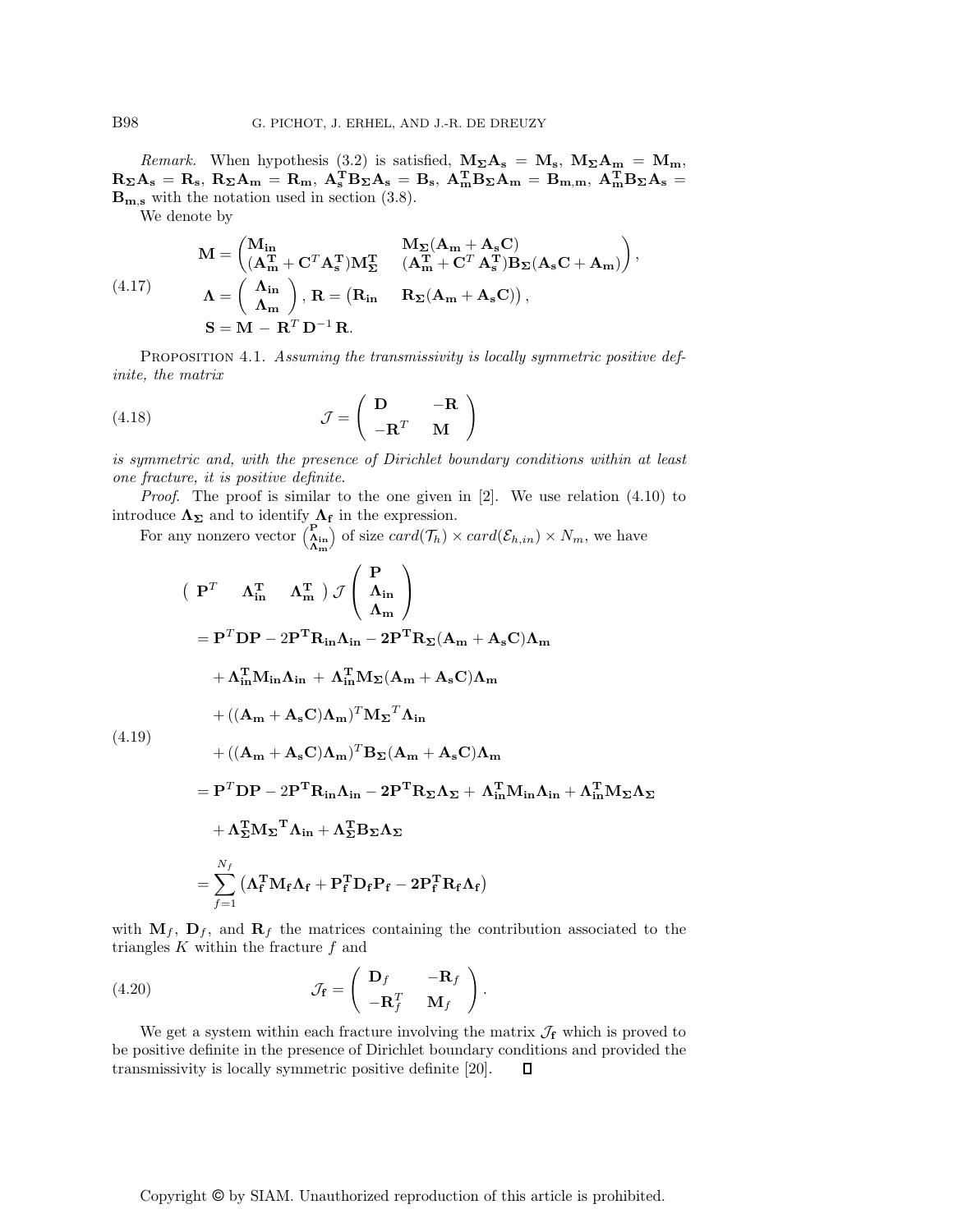Remark. When hypothesis (3.2) is satisfied,  $M_{\Sigma}A_s = M_s$ ,  $M_{\Sigma}A_m = M_m$ ,  $R_\Sigma A_s = R_s, R_\Sigma A_m = R_m, A_s^T B_\Sigma A_s = B_s, A_m^T B_\Sigma A_m = B_{m,m}, A_m^T B_\Sigma A_s =$  $\mathbf{B}_{\mathbf{m},\mathbf{s}}$  with the notation used in section (3.8).

We denote by

$$
M = \begin{pmatrix} M_{in} & M_{\Sigma} (A_m + A_s C) \\ (A_m^T + C^T A_s^T) M_{\Sigma}^T & (A_m^T + C^T A_s^T) B_{\Sigma} (A_s C + A_m) \end{pmatrix},
$$
  
(4.17)  

$$
\Lambda = \begin{pmatrix} \Lambda_{in} \\ \Lambda_m \end{pmatrix}, R = (R_{in} \quad R_{\Sigma} (A_m + A_s C)),
$$
  

$$
S = M - R^T D^{-1} R.
$$

PROPOSITION 4.1. Assuming the transmissivity is locally symmetric positive definite, the matrix

(4.18) 
$$
\mathcal{J} = \begin{pmatrix} \mathbf{D} & -\mathbf{R} \\ -\mathbf{R}^T & \mathbf{M} \end{pmatrix}
$$

is symmetric and, with the presence of Dirichlet boundary conditions within at least one fracture, it is positive definite.

*Proof.* The proof is similar to the one given in  $[2]$ . We use relation  $(4.10)$  to introduce  $\Lambda_{\Sigma}$  and to identify  $\Lambda_{\rm f}$  in the expression.

For any nonzero vector  $\begin{pmatrix} P \\ \Lambda_{in} \\ \Lambda_m \end{pmatrix}$ of size  $card(\mathcal{T}_h) \times card(\mathcal{E}_{h,in}) \times N_m$ , we have

$$
\begin{aligned}\n&\quad\left(\begin{array}{cc}\n\mathbf{P}^T & \mathbf{\Lambda}_{\text{in}}^T & \mathbf{\Lambda}_{\text{in}}^T\n\end{array}\right) \mathcal{J}\begin{pmatrix}\n\mathbf{P} \\
\mathbf{\Lambda}_{\text{in}} \\
\mathbf{\Lambda}_{\text{m}}\n\end{pmatrix} \\
&= \mathbf{P}^T \mathbf{D} \mathbf{P} - 2 \mathbf{P}^T \mathbf{R}_{\text{in}} \mathbf{\Lambda}_{\text{in}} - 2 \mathbf{P}^T \mathbf{R}_{\Sigma} (\mathbf{A}_{\text{m}} + \mathbf{A}_{\text{s}} \mathbf{C}) \mathbf{\Lambda}_{\text{m}} \\
& + \mathbf{\Lambda}_{\text{in}}^T \mathbf{M}_{\text{in}} \mathbf{\Lambda}_{\text{in}} + \mathbf{\Lambda}_{\text{in}}^T \mathbf{M}_{\Sigma} (\mathbf{A}_{\text{m}} + \mathbf{A}_{\text{s}} \mathbf{C}) \mathbf{\Lambda}_{\text{m}} \\
& + ((\mathbf{A}_{\text{m}} + \mathbf{A}_{\text{s}} \mathbf{C}) \mathbf{\Lambda}_{\text{m}})^T \mathbf{M}_{\Sigma}^T \mathbf{\Lambda}_{\text{in}} \\
& + ((\mathbf{A}_{\text{m}} + \mathbf{A}_{\text{s}} \mathbf{C}) \mathbf{\Lambda}_{\text{m}})^T \mathbf{B}_{\Sigma} (\mathbf{A}_{\text{m}} + \mathbf{A}_{\text{s}} \mathbf{C}) \mathbf{\Lambda}_{\text{m}} \\
& = \mathbf{P}^T \mathbf{D} \mathbf{P} - 2 \mathbf{P}^T \mathbf{R}_{\text{in}} \mathbf{\Lambda}_{\text{in}} - 2 \mathbf{P}^T \mathbf{R}_{\Sigma} \mathbf{\Lambda}_{\Sigma} + \mathbf{\Lambda}_{\text{in}}^T \mathbf{M}_{\text{in}} \mathbf{\Lambda}_{\text{in}} + \mathbf{\Lambda}_{\text{in}}^T \mathbf{M}_{\Sigma} \mathbf{\Lambda}_{\Sigma} \\
& + \mathbf{\Lambda}_{\Sigma}^T \mathbf{M}_{\Sigma}^T \mathbf{\Lambda}_{\text{in}} + \mathbf{\Lambda}_{\Sigma}^T \mathbf{B}_{\Sigma} \mathbf{\Lambda}_{\Sigma} \\
& = \sum_{f=1}^{N_f} (\mathbf{\Lambda}_f^T \mathbf{M}_f \mathbf{\Lambda}_f + \mathbf{
$$

with  $M_f$ ,  $D_f$ , and  $R_f$  the matrices containing the contribution associated to the

 $\big\{\begin{array}{ccc} \mathbf{D}_f & -\mathbf{R}_f \end{array}$  $-{\bf R}_f^T={\bf M}_f$ 

We get a system within each fracture involving the matrix  $\mathcal{J}_{f}$  which is proved to be positive definite in the presence of Dirichlet boundary conditions and provided the

 $\setminus$ .

П

(4.19)

triangles  $K$  within the fracture  $f$  and

transmissivity is locally symmetric positive definite [20].

 $(4.20)$   $\mathcal{J}_{f} =$ 

Copyright 
$$
\textcircled{}
$$
 by SIAM. Unauthorized reproduction of this article is prohibited.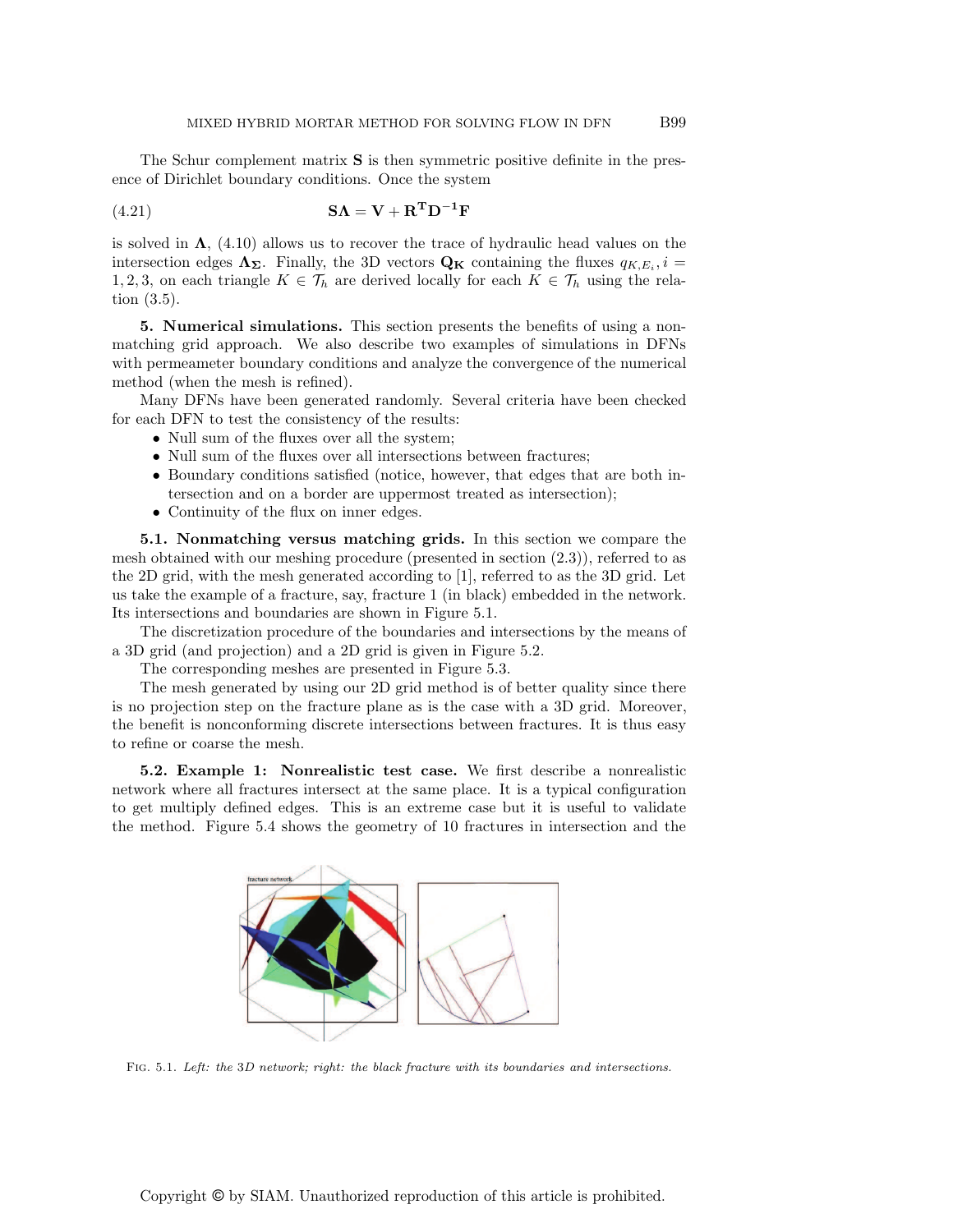The Schur complement matrix S is then symmetric positive definite in the presence of Dirichlet boundary conditions. Once the system

(4.21) 
$$
\mathbf{S}\Lambda = \mathbf{V} + \mathbf{R}^{\mathrm{T}}\mathbf{D}^{-1}\mathbf{F}
$$

is solved in  $\Lambda$ , (4.10) allows us to recover the trace of hydraulic head values on the intersection edges  $\Lambda_{\Sigma}$ . Finally, the 3D vectors  $Q_K$  containing the fluxes  $q_{K,E_i}, i =$ 1, 2, 3, on each triangle  $K \in \mathcal{T}_h$  are derived locally for each  $K \in \mathcal{T}_h$  using the relation (3.5).

5. Numerical simulations. This section presents the benefits of using a nonmatching grid approach. We also describe two examples of simulations in DFNs with permeameter boundary conditions and analyze the convergence of the numerical method (when the mesh is refined).

Many DFNs have been generated randomly. Several criteria have been checked for each DFN to test the consistency of the results:

- Null sum of the fluxes over all the system;
- Null sum of the fluxes over all intersections between fractures;
- Boundary conditions satisfied (notice, however, that edges that are both intersection and on a border are uppermost treated as intersection);
- Continuity of the flux on inner edges.

5.1. Nonmatching versus matching grids. In this section we compare the mesh obtained with our meshing procedure (presented in section (2.3)), referred to as the 2D grid, with the mesh generated according to [1], referred to as the 3D grid. Let us take the example of a fracture, say, fracture 1 (in black) embedded in the network. Its intersections and boundaries are shown in Figure 5.1.

The discretization procedure of the boundaries and intersections by the means of a 3D grid (and projection) and a 2D grid is given in Figure 5.2.

The corresponding meshes are presented in Figure 5.3.

The mesh generated by using our 2D grid method is of better quality since there is no projection step on the fracture plane as is the case with a 3D grid. Moreover, the benefit is nonconforming discrete intersections between fractures. It is thus easy to refine or coarse the mesh.

5.2. Example 1: Nonrealistic test case. We first describe a nonrealistic network where all fractures intersect at the same place. It is a typical configuration to get multiply defined edges. This is an extreme case but it is useful to validate the method. Figure 5.4 shows the geometry of 10 fractures in intersection and the



Fig. 5.1. Left: the 3D network; right: the black fracture with its boundaries and intersections.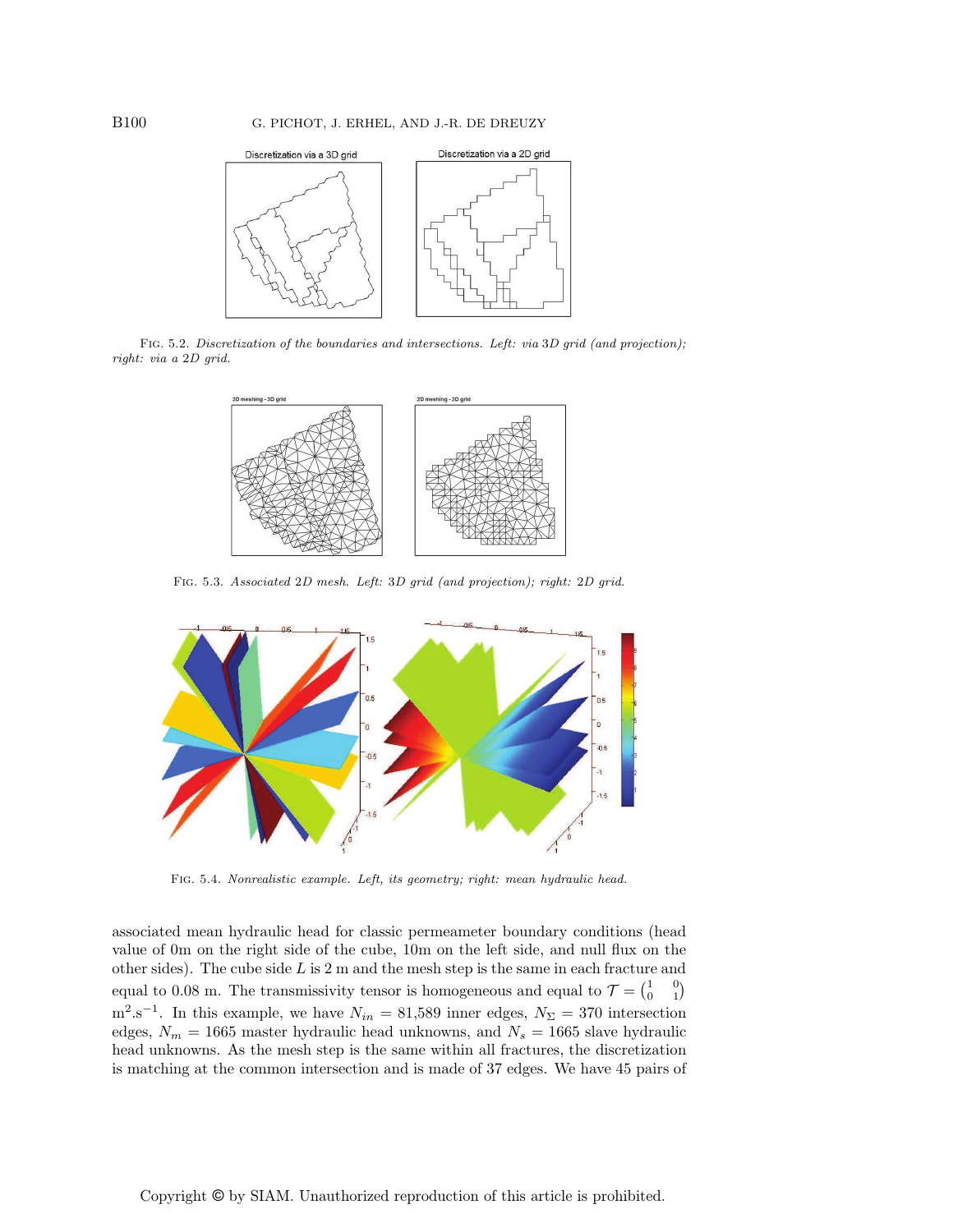

Fig. 5.2. Discretization of the boundaries and intersections. Left: via 3D grid (and projection); right: via a 2D grid.



Fig. 5.3. Associated 2D mesh. Left: 3D grid (and projection); right: 2D grid.



Fig. 5.4. Nonrealistic example. Left, its geometry; right: mean hydraulic head.

associated mean hydraulic head for classic permeameter boundary conditions (head value of 0m on the right side of the cube, 10m on the left side, and null flux on the other sides). The cube side  $L$  is 2 m and the mesh step is the same in each fracture and equal to 0.08 m. The transmissivity tensor is homogeneous and equal to  $\mathcal{T} = \begin{pmatrix} 1 & 0 \\ 0 & 1 \end{pmatrix}$  $m^2 \cdot s^{-1}$ . In this example, we have  $N_{in} = 81,589$  inner edges,  $N_{\Sigma} = 370$  intersection edges,  $N_m = 1665$  master hydraulic head unknowns, and  $N_s = 1665$  slave hydraulic head unknowns. As the mesh step is the same within all fractures, the discretization is matching at the common intersection and is made of 37 edges. We have 45 pairs of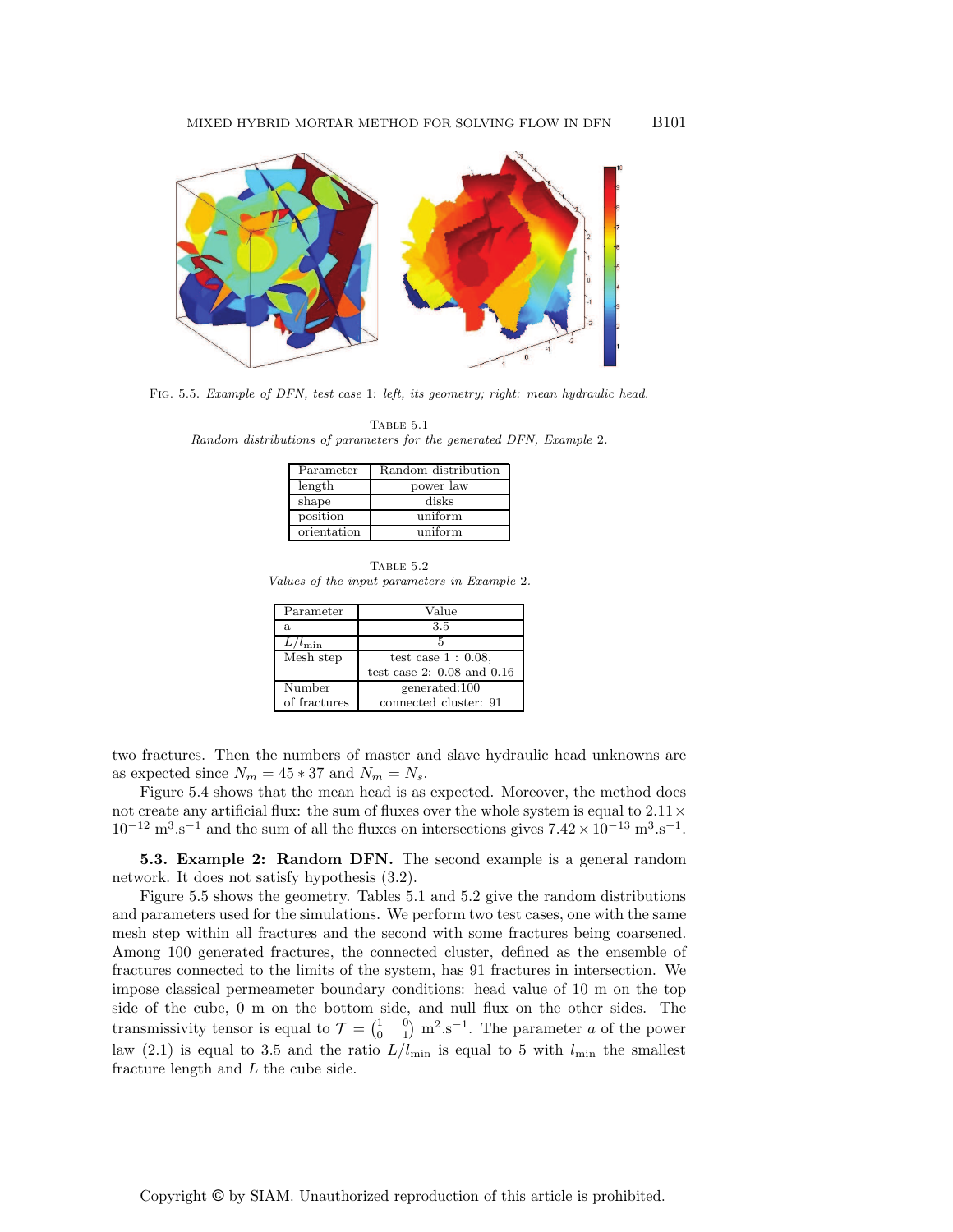

FIG. 5.5. Example of DFN, test case 1: left, its geometry; right: mean hydraulic head.

TABLE  $5.1$ Random distributions of parameters for the generated DFN, Example 2.

| Parameter   | Random distribution |
|-------------|---------------------|
| length      | power law           |
| shape       | disks               |
| position    | uniform             |
| orientation | uniform             |

Table 5.2 Values of the input parameters in Example 2.

| Parameter          | Value                          |
|--------------------|--------------------------------|
| a.                 | 3.5                            |
| $L/l_{\text{min}}$ | 5                              |
| Mesh step          | test case $1:0.08$ .           |
|                    | test case 2: $0.08$ and $0.16$ |
| Number             | generated:100                  |
| of fractures       | connected cluster: 91          |

two fractures. Then the numbers of master and slave hydraulic head unknowns are as expected since  $N_m = 45 * 37$  and  $N_m = N_s$ .

Figure 5.4 shows that the mean head is as expected. Moreover, the method does not create any artificial flux: the sum of fluxes over the whole system is equal to  $2.11 \times$  $10^{-12} \text{ m}^3 \text{.} \text{s}^{-1}$  and the sum of all the fluxes on intersections gives  $7.42 \times 10^{-13} \text{ m}^3 \text{.} \text{s}^{-1}$ .

5.3. Example 2: Random DFN. The second example is a general random network. It does not satisfy hypothesis (3.2).

Figure 5.5 shows the geometry. Tables 5.1 and 5.2 give the random distributions and parameters used for the simulations. We perform two test cases, one with the same mesh step within all fractures and the second with some fractures being coarsened. Among 100 generated fractures, the connected cluster, defined as the ensemble of fractures connected to the limits of the system, has 91 fractures in intersection. We impose classical permeameter boundary conditions: head value of 10 m on the top side of the cube, 0 m on the bottom side, and null flux on the other sides. The transmissivity tensor is equal to  $\mathcal{T} = \begin{pmatrix} 1 & 0 \\ 0 & 1 \end{pmatrix}$  m<sup>2</sup>.s<sup>-1</sup>. The parameter a of the power law (2.1) is equal to 3.5 and the ratio  $L/l_{\text{min}}$  is equal to 5 with  $l_{\text{min}}$  the smallest fracture length and  $L$  the cube side.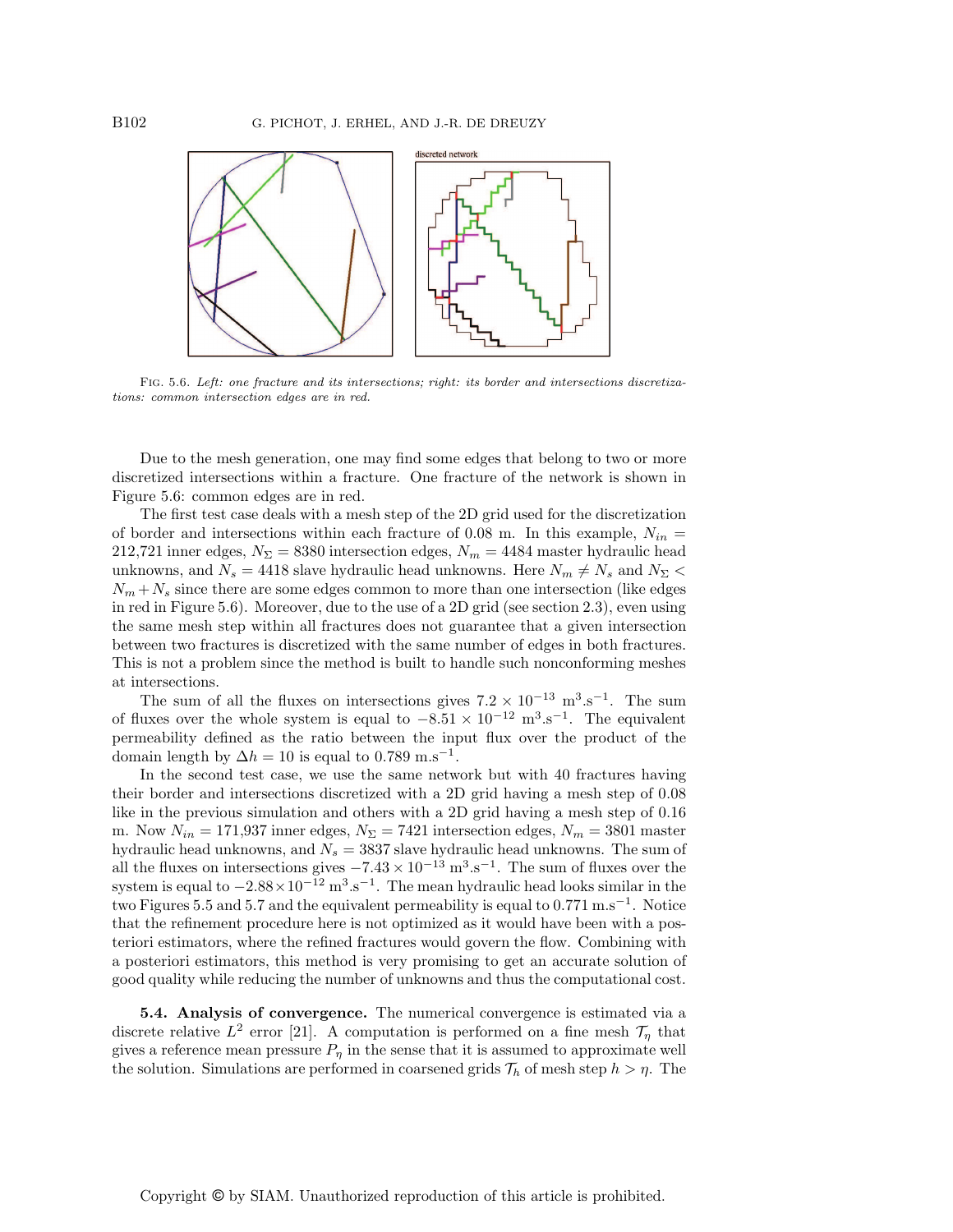

Fig. 5.6. Left: one fracture and its intersections; right: its border and intersections discretizations: common intersection edges are in red.

Due to the mesh generation, one may find some edges that belong to two or more discretized intersections within a fracture. One fracture of the network is shown in Figure 5.6: common edges are in red.

The first test case deals with a mesh step of the 2D grid used for the discretization of border and intersections within each fracture of 0.08 m. In this example,  $N_{in}$  = 212,721 inner edges,  $N_{\Sigma} = 8380$  intersection edges,  $N_m = 4484$  master hydraulic head unknowns, and  $N_s = 4418$  slave hydraulic head unknowns. Here  $N_m \neq N_s$  and  $N_{\Sigma}$  <  $N_m + N_s$  since there are some edges common to more than one intersection (like edges in red in Figure 5.6). Moreover, due to the use of a 2D grid (see section 2.3), even using the same mesh step within all fractures does not guarantee that a given intersection between two fractures is discretized with the same number of edges in both fractures. This is not a problem since the method is built to handle such nonconforming meshes at intersections.

The sum of all the fluxes on intersections gives  $7.2 \times 10^{-13}$  m<sup>3</sup>.s<sup>-1</sup>. The sum of fluxes over the whole system is equal to  $-8.51 \times 10^{-12}$  m<sup>3</sup>.s<sup>-1</sup>. The equivalent permeability defined as the ratio between the input flux over the product of the domain length by  $\Delta h = 10$  is equal to 0.789 m.s<sup>-1</sup>.

In the second test case, we use the same network but with 40 fractures having their border and intersections discretized with a 2D grid having a mesh step of 0.08 like in the previous simulation and others with a 2D grid having a mesh step of 0.16 m. Now  $N_{in} = 171,937$  inner edges,  $N_{\Sigma} = 7421$  intersection edges,  $N_m = 3801$  master hydraulic head unknowns, and  $N_s = 3837$  slave hydraulic head unknowns. The sum of all the fluxes on intersections gives  $-7.43 \times 10^{-13}$  m<sup>3</sup>.s<sup>-1</sup>. The sum of fluxes over the system is equal to  $-2.88 \times 10^{-12}$  m<sup>3</sup>.s<sup>-1</sup>. The mean hydraulic head looks similar in the two Figures 5.5 and 5.7 and the equivalent permeability is equal to  $0.771 \text{ m.s}^{-1}$ . Notice that the refinement procedure here is not optimized as it would have been with a posteriori estimators, where the refined fractures would govern the flow. Combining with a posteriori estimators, this method is very promising to get an accurate solution of good quality while reducing the number of unknowns and thus the computational cost.

5.4. Analysis of convergence. The numerical convergence is estimated via a discrete relative  $L^2$  error [21]. A computation is performed on a fine mesh  $\mathcal{T}_\eta$  that gives a reference mean pressure  $P_{\eta}$  in the sense that it is assumed to approximate well the solution. Simulations are performed in coarsened grids  $\mathcal{T}_h$  of mesh step  $h > \eta$ . The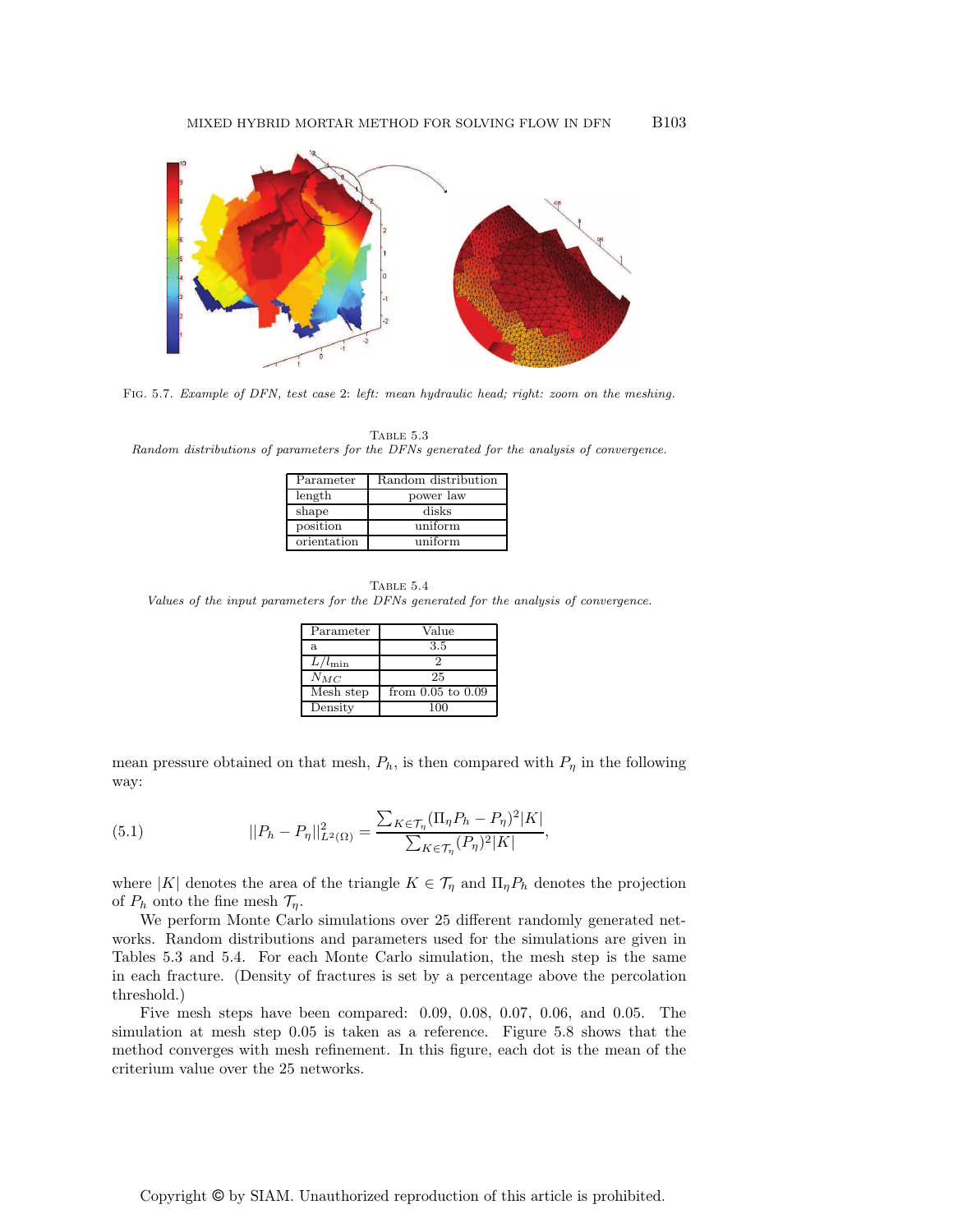

Fig. 5.7. Example of DFN, test case 2: left: mean hydraulic head; right: zoom on the meshing.

TABLE  $5.3$ Random distributions of parameters for the DFNs generated for the analysis of convergence.

| Parameter   | Random distribution |
|-------------|---------------------|
| length      | power law           |
| shape       | disks               |
| position    | uniform             |
| orientation | uniform             |

TABLE  $5.4\,$ Values of the input parameters for the DFNs generated for the analysis of convergence.

| Parameter          | Value                 |
|--------------------|-----------------------|
| a.                 | 3.5                   |
| $L/l_{\text{min}}$ |                       |
| $N_{MC}$           | 25                    |
| Mesh step          | from $0.05$ to $0.09$ |
| Density            | 100                   |

mean pressure obtained on that mesh,  $P_h$ , is then compared with  $P_\eta$  in the following way:

(5.1) 
$$
||P_h - P_\eta||_{L^2(\Omega)}^2 = \frac{\sum_{K \in \mathcal{T}_\eta} (\Pi_\eta P_h - P_\eta)^2 |K|}{\sum_{K \in \mathcal{T}_\eta} (P_\eta)^2 |K|},
$$

where |K| denotes the area of the triangle  $K \in \mathcal{T}_\eta$  and  $\Pi_\eta P_h$  denotes the projection of  $P_h$  onto the fine mesh  $\mathcal{T}_n$ .

We perform Monte Carlo simulations over 25 different randomly generated networks. Random distributions and parameters used for the simulations are given in Tables 5.3 and 5.4. For each Monte Carlo simulation, the mesh step is the same in each fracture. (Density of fractures is set by a percentage above the percolation threshold.)

Five mesh steps have been compared: 0.09, 0.08, 0.07, 0.06, and 0.05. The simulation at mesh step 0.05 is taken as a reference. Figure 5.8 shows that the method converges with mesh refinement. In this figure, each dot is the mean of the criterium value over the 25 networks.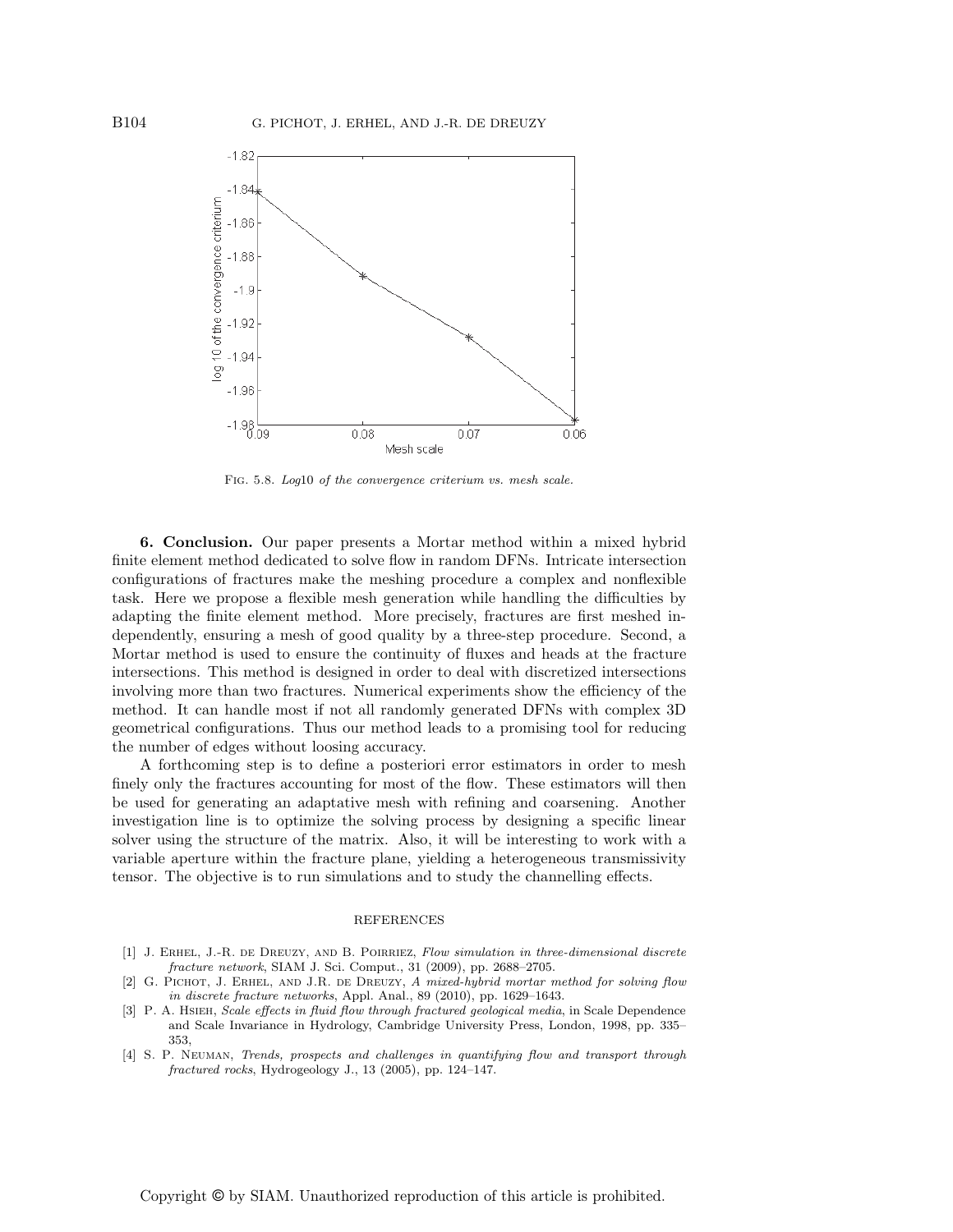

Fig. 5.8. Log10 of the convergence criterium vs. mesh scale.

6. Conclusion. Our paper presents a Mortar method within a mixed hybrid finite element method dedicated to solve flow in random DFNs. Intricate intersection configurations of fractures make the meshing procedure a complex and nonflexible task. Here we propose a flexible mesh generation while handling the difficulties by adapting the finite element method. More precisely, fractures are first meshed independently, ensuring a mesh of good quality by a three-step procedure. Second, a Mortar method is used to ensure the continuity of fluxes and heads at the fracture intersections. This method is designed in order to deal with discretized intersections involving more than two fractures. Numerical experiments show the efficiency of the method. It can handle most if not all randomly generated DFNs with complex 3D geometrical configurations. Thus our method leads to a promising tool for reducing the number of edges without loosing accuracy.

A forthcoming step is to define a posteriori error estimators in order to mesh finely only the fractures accounting for most of the flow. These estimators will then be used for generating an adaptative mesh with refining and coarsening. Another investigation line is to optimize the solving process by designing a specific linear solver using the structure of the matrix. Also, it will be interesting to work with a variable aperture within the fracture plane, yielding a heterogeneous transmissivity tensor. The objective is to run simulations and to study the channelling effects.

#### REFERENCES

- [1] J. ERHEL, J.-R. DE DREUZY, AND B. POIRRIEZ, Flow simulation in three-dimensional discrete fracture network, SIAM J. Sci. Comput., 31 (2009), pp. 2688–2705.
- [2] G. PICHOT, J. ERHEL, AND J.R. DE DREUZY, A mixed-hybrid mortar method for solving flow in discrete fracture networks, Appl. Anal., 89 (2010), pp. 1629–1643.
- [3] P. A. HSIEH, Scale effects in fluid flow through fractured geological media, in Scale Dependence and Scale Invariance in Hydrology, Cambridge University Press, London, 1998, pp. 335– 353,
- [4] S. P. Neuman, Trends, prospects and challenges in quantifying flow and transport through fractured rocks, Hydrogeology J., 13 (2005), pp. 124–147.